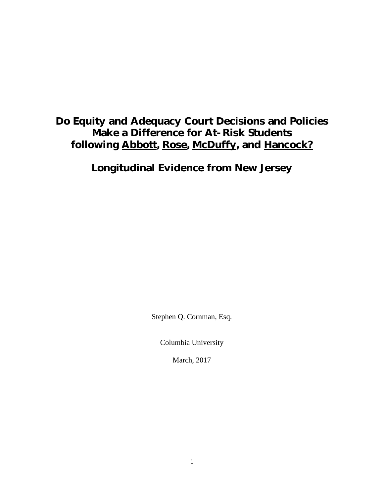# Do Equity and Adequacy Court Decisions and Policies Make a Difference for At-Risk Students following Abbott, Rose, McDuffy, and Hancock?

Longitudinal Evidence from New Jersey

Stephen Q. Cornman, Esq.

Columbia University

March, 2017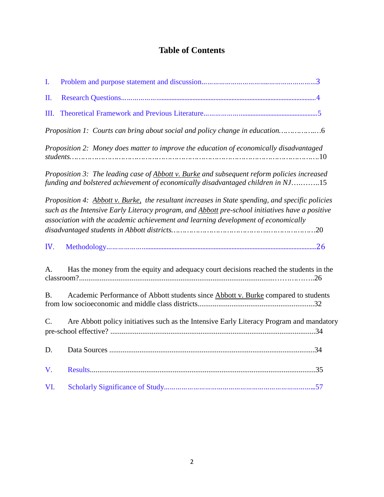# **Table of Contents**

| I.        |                                                                                                                                                                                                                                                                                           |
|-----------|-------------------------------------------------------------------------------------------------------------------------------------------------------------------------------------------------------------------------------------------------------------------------------------------|
| Π.        |                                                                                                                                                                                                                                                                                           |
| Ш.        |                                                                                                                                                                                                                                                                                           |
|           | Proposition 1: Courts can bring about social and policy change in education                                                                                                                                                                                                               |
|           | Proposition 2: Money does matter to improve the education of economically disadvantaged                                                                                                                                                                                                   |
|           | Proposition 3: The leading case of Abbott v. Burke and subsequent reform policies increased<br>funding and bolstered achievement of economically disadvantaged children in NJ15                                                                                                           |
|           | Proposition 4: Abbott v. Burke, the resultant increases in State spending, and specific policies<br>such as the Intensive Early Literacy program, and Abbott pre-school initiatives have a positive<br>association with the academic achievement and learning development of economically |
| IV.       |                                                                                                                                                                                                                                                                                           |
| A.        | Has the money from the equity and adequacy court decisions reached the students in the                                                                                                                                                                                                    |
| <b>B.</b> | Academic Performance of Abbott students since Abbott v. Burke compared to students                                                                                                                                                                                                        |
| C.        | Are Abbott policy initiatives such as the Intensive Early Literacy Program and mandatory                                                                                                                                                                                                  |
| D.        |                                                                                                                                                                                                                                                                                           |
| V.        |                                                                                                                                                                                                                                                                                           |
| VI.       |                                                                                                                                                                                                                                                                                           |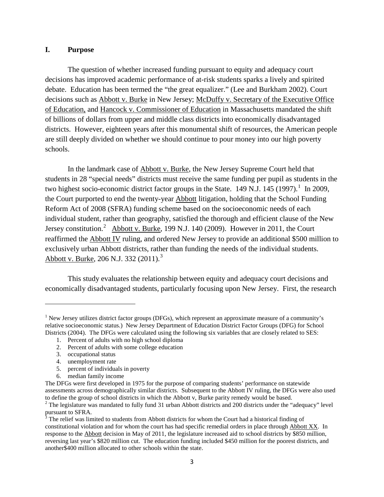### **I. Purpose**

The question of whether increased funding pursuant to equity and adequacy court decisions has improved academic performance of at-risk students sparks a lively and spirited debate. Education has been termed the "the great equalizer." (Lee and Burkham 2002). Court decisions such as Abbott v. Burke in New Jersey; McDuffy v. Secretary of the Executive Office of Education, and Hancock v. Commissioner of Education in Massachusetts mandated the shift of billions of dollars from upper and middle class districts into economically disadvantaged districts. However, eighteen years after this monumental shift of resources, the American people are still deeply divided on whether we should continue to pour money into our high poverty schools.

In the landmark case of Abbott v. Burke, the New Jersey Supreme Court held that students in 28 "special needs" districts must receive the same funding per pupil as students in the two highest socio-economic district factor groups in the State.  $149$  N.J.  $145$  (1997).<sup>1</sup> In 2009, the Court purported to end the twenty-year Abbott litigation, holding that the School Funding Reform Act of 2008 (SFRA) funding scheme based on the socioeconomic needs of each individual student, rather than geography, satisfied the thorough and efficient clause of the New Jersey constitution.<sup>2</sup> Abbott v. Burke, 199 N.J. 140 (2009). However in 2011, the Court reaffirmed the Abbott IV ruling, and ordered New Jersey to provide an additional \$500 million to exclusively urban Abbott districts, rather than funding the needs of the individual students. Abbott v. Burke, 206 N.J. 332 (2011).<sup>3</sup>

This study evaluates the relationship between equity and adequacy court decisions and economically disadvantaged students, particularly focusing upon New Jersey. First, the research

- 4. unemployment rate
- 5. percent of individuals in poverty
- 6. median family income

<sup>&</sup>lt;sup>1</sup> New Jersey utilizes district factor groups (DFGs), which represent an approximate measure of a community's relative socioeconomic status.) New Jersey Department of Education District Factor Groups (DFG) for School Districts (2004). The DFGs were calculated using the following six variables that are closely related to SES:

<sup>1.</sup> Percent of adults with no high school diploma

<sup>2.</sup> Percent of adults with some college education

<sup>3.</sup> occupational status

The DFGs were first developed in 1975 for the purpose of comparing students' performance on statewide assessments across demographically similar districts. Subsequent to the Abbott IV ruling, the DFGs were also used to define the group of school districts in which the Abbott v, Burke parity remedy would be based.

<sup>&</sup>lt;sup>2</sup> The legislature was mandated to fully fund 31 urban Abbott districts and 200 districts under the "adequacy" level pursuant to SFRA.

 $3$  The relief was limited to students from Abbott districts for whom the Court had a historical finding of constitutional violation and for whom the court has had specific remedial orders in place through Abbott XX. In response to the Abbott decision in May of 2011, the legislature increased aid to school districts by \$850 million, reversing last year's \$820 million cut. The education funding included \$450 million for the poorest districts, and another\$400 million allocated to other schools within the state.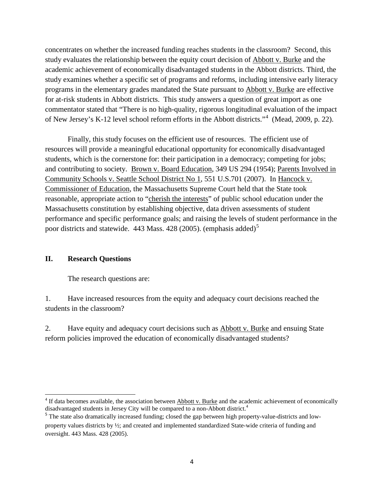concentrates on whether the increased funding reaches students in the classroom? Second, this study evaluates the relationship between the equity court decision of Abbott v. Burke and the academic achievement of economically disadvantaged students in the Abbott districts. Third, the study examines whether a specific set of programs and reforms, including intensive early literacy programs in the elementary grades mandated the State pursuant to Abbott v. Burke are effective for at-risk students in Abbott districts. This study answers a question of great import as one commentator stated that "There is no high-quality, rigorous longitudinal evaluation of the impact of New Jersey's K-12 level school reform efforts in the Abbott districts."<sup>4</sup> (Mead, 2009, p. 22).

Finally, this study focuses on the efficient use of resources. The efficient use of resources will provide a meaningful educational opportunity for economically disadvantaged students, which is the cornerstone for: their participation in a democracy; competing for jobs; and contributing to society. Brown v. Board Education, 349 US 294 (1954); Parents Involved in Community Schools v. Seattle School District No 1, 551 U.S.701 (2007). In Hancock v. Commissioner of Education, the Massachusetts Supreme Court held that the State took reasonable, appropriate action to "cherish the interests" of public school education under the Massachusetts constitution by establishing objective, data driven assessments of student performance and specific performance goals; and raising the levels of student performance in the poor districts and statewide. 443 Mass. 428 (2005). (emphasis added)<sup>5</sup>

#### **II. Research Questions**

l

The research questions are:

1. Have increased resources from the equity and adequacy court decisions reached the students in the classroom?

2. Have equity and adequacy court decisions such as Abbott v. Burke and ensuing State reform policies improved the education of economically disadvantaged students?

 $4$  If data becomes available, the association between  $\Delta$ bbott v. Burke and the academic achievement of economically disadvantaged students in Jersey City will be compared to a non-Abbott district.<sup>4</sup>

<sup>&</sup>lt;sup>5</sup> The state also dramatically increased funding; closed the gap between high property-value-districts and lowproperty values districts by ½; and created and implemented standardized State-wide criteria of funding and oversight. 443 Mass. 428 (2005).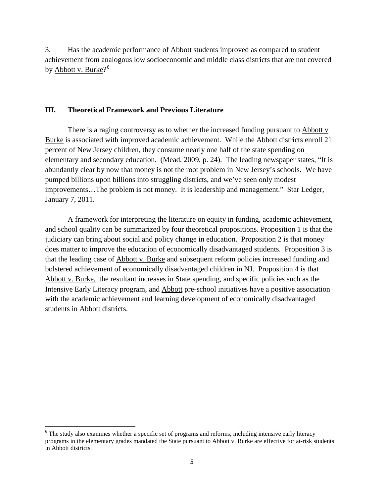3. Has the academic performance of Abbott students improved as compared to student achievement from analogous low socioeconomic and middle class districts that are not covered by <u>Abbott v. Burke</u>?<sup>6</sup>

#### **III. Theoretical Framework and Previous Literature**

There is a raging controversy as to whether the increased funding pursuant to  $\frac{\text{Abbott } v}{\text{t}}$ Burke is associated with improved academic achievement. While the Abbott districts enroll 21 percent of New Jersey children, they consume nearly one half of the state spending on elementary and secondary education. (Mead, 2009, p. 24). The leading newspaper states, "It is abundantly clear by now that money is not the root problem in New Jersey's schools. We have pumped billions upon billions into struggling districts, and we've seen only modest improvements…The problem is not money. It is leadership and management." Star Ledger, January 7, 2011.

A framework for interpreting the literature on equity in funding, academic achievement, and school quality can be summarized by four theoretical propositions. Proposition 1 is that the judiciary can bring about social and policy change in education. Proposition 2 is that money does matter to improve the education of economically disadvantaged students. Proposition 3 is that the leading case of Abbott v. Burke and subsequent reform policies increased funding and bolstered achievement of economically disadvantaged children in NJ. Proposition 4 is that Abbott v. Burke, the resultant increases in State spending, and specific policies such as the Intensive Early Literacy program, and Abbott pre-school initiatives have a positive association with the academic achievement and learning development of economically disadvantaged students in Abbott districts.

<sup>&</sup>lt;sup>6</sup> The study also examines whether a specific set of programs and reforms, including intensive early literacy programs in the elementary grades mandated the State pursuant to Abbott v. Burke are effective for at-risk students in Abbott districts.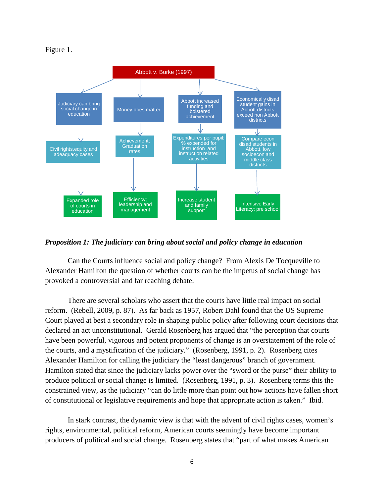#### Figure 1.



#### *Proposition 1: The judiciary can bring about social and policy change in education*

Can the Courts influence social and policy change? From Alexis De Tocqueville to Alexander Hamilton the question of whether courts can be the impetus of social change has provoked a controversial and far reaching debate.

There are several scholars who assert that the courts have little real impact on social reform. (Rebell, 2009, p. 87). As far back as 1957, Robert Dahl found that the US Supreme Court played at best a secondary role in shaping public policy after following court decisions that declared an act unconstitutional. Gerald Rosenberg has argued that "the perception that courts have been powerful, vigorous and potent proponents of change is an overstatement of the role of the courts, and a mystification of the judiciary." (Rosenberg, 1991, p. 2). Rosenberg cites Alexander Hamilton for calling the judiciary the "least dangerous" branch of government. Hamilton stated that since the judiciary lacks power over the "sword or the purse" their ability to produce political or social change is limited. (Rosenberg, 1991, p. 3). Rosenberg terms this the constrained view, as the judiciary "can do little more than point out how actions have fallen short of constitutional or legislative requirements and hope that appropriate action is taken." Ibid.

In stark contrast, the dynamic view is that with the advent of civil rights cases, women's rights, environmental, political reform, American courts seemingly have become important producers of political and social change. Rosenberg states that "part of what makes American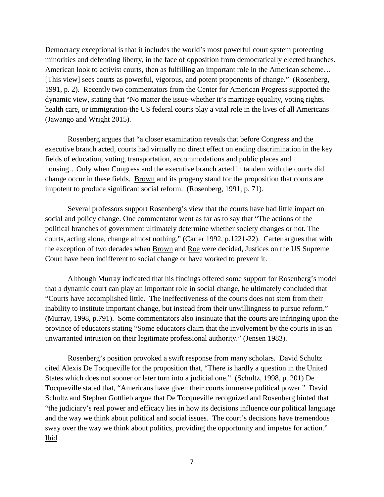Democracy exceptional is that it includes the world's most powerful court system protecting minorities and defending liberty, in the face of opposition from democratically elected branches. American look to activist courts, then as fulfilling an important role in the American scheme… [This view] sees courts as powerful, vigorous, and potent proponents of change." (Rosenberg, 1991, p. 2). Recently two commentators from the Center for American Progress supported the dynamic view, stating that "No matter the issue-whether it's marriage equality, voting rights. health care, or immigration-the US federal courts play a vital role in the lives of all Americans (Jawango and Wright 2015).

Rosenberg argues that "a closer examination reveals that before Congress and the executive branch acted, courts had virtually no direct effect on ending discrimination in the key fields of education, voting, transportation, accommodations and public places and housing...Only when Congress and the executive branch acted in tandem with the courts did change occur in these fields. Brown and its progeny stand for the proposition that courts are impotent to produce significant social reform. (Rosenberg, 1991, p. 71).

Several professors support Rosenberg's view that the courts have had little impact on social and policy change. One commentator went as far as to say that "The actions of the political branches of government ultimately determine whether society changes or not. The courts, acting alone, change almost nothing." (Carter 1992, p.1221-22). Carter argues that with the exception of two decades when Brown and Roe were decided, Justices on the US Supreme Court have been indifferent to social change or have worked to prevent it.

Although Murray indicated that his findings offered some support for Rosenberg's model that a dynamic court can play an important role in social change, he ultimately concluded that "Courts have accomplished little. The ineffectiveness of the courts does not stem from their inability to institute important change, but instead from their unwillingness to pursue reform." (Murray, 1998, p.791). Some commentators also insinuate that the courts are infringing upon the province of educators stating "Some educators claim that the involvement by the courts in is an unwarranted intrusion on their legitimate professional authority." (Jensen 1983).

Rosenberg's position provoked a swift response from many scholars. David Schultz cited Alexis De Tocqueville for the proposition that, "There is hardly a question in the United States which does not sooner or later turn into a judicial one." (Schultz, 1998, p. 201) De Tocqueville stated that, "Americans have given their courts immense political power." David Schultz and Stephen Gottlieb argue that De Tocqueville recognized and Rosenberg hinted that "the judiciary's real power and efficacy lies in how its decisions influence our political language and the way we think about political and social issues. The court's decisions have tremendous sway over the way we think about politics, providing the opportunity and impetus for action." Ibid.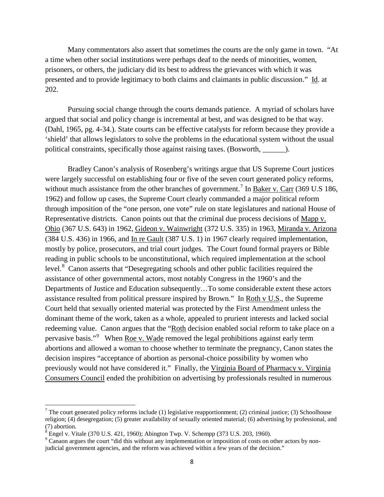Many commentators also assert that sometimes the courts are the only game in town. "At a time when other social institutions were perhaps deaf to the needs of minorities, women, prisoners, or others, the judiciary did its best to address the grievances with which it was presented and to provide legitimacy to both claims and claimants in public discussion." Id. at 202.

Pursuing social change through the courts demands patience. A myriad of scholars have argued that social and policy change is incremental at best, and was designed to be that way. (Dahl, 1965, pg. 4-34.). State courts can be effective catalysts for reform because they provide a 'shield' that allows legislators to solve the problems in the educational system without the usual political constraints, specifically those against raising taxes. (Bosworth, \_\_\_\_\_\_).

 Bradley Canon's analysis of Rosenberg's writings argue that US Supreme Court justices were largely successful on establishing four or five of the seven court generated policy reforms, without much assistance from the other branches of government.<sup>7</sup> In Baker v. Carr (369 U.S 186, 1962) and follow up cases, the Supreme Court clearly commanded a major political reform through imposition of the "one person, one vote" rule on state legislatures and national House of Representative districts. Canon points out that the criminal due process decisions of Mapp v. Ohio (367 U.S. 643) in 1962, Gideon v. Wainwright (372 U.S. 335) in 1963, Miranda v. Arizona (384 U.S. 436) in 1966, and In re Gault (387 U.S. 1) in 1967 clearly required implementation, mostly by police, prosecutors, and trial court judges. The Court found formal prayers or Bible reading in public schools to be unconstitutional, which required implementation at the school level.<sup>8</sup> Canon asserts that "Desegregating schools and other public facilities required the assistance of other governmental actors, most notably Congress in the 1960's and the Departments of Justice and Education subsequently…To some considerable extent these actors assistance resulted from political pressure inspired by Brown." In Roth v U.S., the Supreme Court held that sexually oriented material was protected by the First Amendment unless the dominant theme of the work, taken as a whole, appealed to prurient interests and lacked social redeeming value. Canon argues that the "Roth decision enabled social reform to take place on a pervasive basis."<sup>9</sup> When <u>Roe v. Wade</u> removed the legal prohibitions against early term abortions and allowed a woman to choose whether to terminate the pregnancy, Canon states the decision inspires "acceptance of abortion as personal-choice possibility by women who previously would not have considered it." Finally, the Virginia Board of Pharmacy v. Virginia Consumers Council ended the prohibition on advertising by professionals resulted in numerous

<sup>&</sup>lt;sup>7</sup> The court generated policy reforms include (1) legislative reapportionment; (2) criminal justice; (3) Schoolhouse religion; (4) desegregation; (5) greater availability of sexually oriented material; (6) advertising by professional, and (7) abortion.

 $8$  Engel v. Vitale (370 U.S. 421, 1960); Abington Twp. V. Schempp (373 U.S. 203, 1960).

<sup>&</sup>lt;sup>9</sup> Canaon argues the court "did this without any implementation or imposition of costs on other actors by nonjudicial government agencies, and the reform was achieved within a few years of the decision."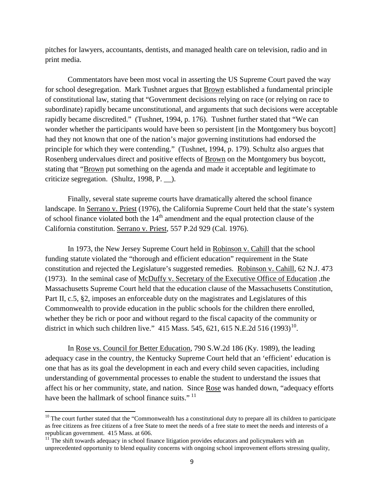pitches for lawyers, accountants, dentists, and managed health care on television, radio and in print media.

Commentators have been most vocal in asserting the US Supreme Court paved the way for school desegregation. Mark Tushnet argues that Brown established a fundamental principle of constitutional law, stating that "Government decisions relying on race (or relying on race to subordinate) rapidly became unconstitutional, and arguments that such decisions were acceptable rapidly became discredited." (Tushnet, 1994, p. 176). Tushnet further stated that "We can wonder whether the participants would have been so persistent [in the Montgomery bus boycott] had they not known that one of the nation's major governing institutions had endorsed the principle for which they were contending." (Tushnet, 1994, p. 179). Schultz also argues that Rosenberg undervalues direct and positive effects of Brown on the Montgomery bus boycott, stating that "Brown put something on the agenda and made it acceptable and legitimate to criticize segregation. (Shultz, 1998, P. \_\_).

Finally, several state supreme courts have dramatically altered the school finance landscape. In Serrano v. Priest (1976), the California Supreme Court held that the state's system of school finance violated both the  $14<sup>th</sup>$  amendment and the equal protection clause of the California constitution. Serrano v. Priest, 557 P.2d 929 (Cal. 1976).

In 1973, the New Jersey Supreme Court held in Robinson v. Cahill that the school funding statute violated the "thorough and efficient education" requirement in the State constitution and rejected the Legislature's suggested remedies. Robinson v. Cahill, 62 N.J. 473 (1973). In the seminal case of McDuffy v. Secretary of the Executive Office of Education ,the Massachusetts Supreme Court held that the education clause of the Massachusetts Constitution, Part II, c.5, §2, imposes an enforceable duty on the magistrates and Legislatures of this Commonwealth to provide education in the public schools for the children there enrolled, whether they be rich or poor and without regard to the fiscal capacity of the community or district in which such children live." 415 Mass. 545, 621, 615 N.E.2d 516 (1993)<sup>10</sup>.

In Rose vs. Council for Better Education, 790 S.W.2d 186 (Ky. 1989), the leading adequacy case in the country, the Kentucky Supreme Court held that an 'efficient' education is one that has as its goal the development in each and every child seven capacities, including understanding of governmental processes to enable the student to understand the issues that affect his or her community, state, and nation. Since Rose was handed down, "adequacy efforts have been the hallmark of school finance suits."<sup>11</sup>

l

 $10$  The court further stated that the "Commonwealth has a constitutional duty to prepare all its children to participate as free citizens as free citizens of a free State to meet the needs of a free state to meet the needs and interests of a republican government. 415 Mass. at 606.

 $11$ <sup>T</sup>he shift towards adequacy in school finance litigation provides educators and policymakers with an unprecedented opportunity to blend equality concerns with ongoing school improvement efforts stressing quality,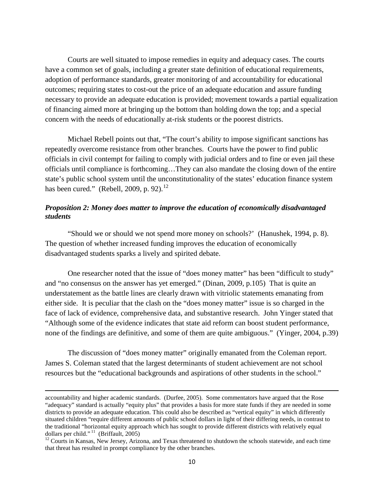Courts are well situated to impose remedies in equity and adequacy cases. The courts have a common set of goals, including a greater state definition of educational requirements, adoption of performance standards, greater monitoring of and accountability for educational outcomes; requiring states to cost-out the price of an adequate education and assure funding necessary to provide an adequate education is provided; movement towards a partial equalization of financing aimed more at bringing up the bottom than holding down the top; and a special concern with the needs of educationally at-risk students or the poorest districts.

Michael Rebell points out that, "The court's ability to impose significant sanctions has repeatedly overcome resistance from other branches. Courts have the power to find public officials in civil contempt for failing to comply with judicial orders and to fine or even jail these officials until compliance is forthcoming…They can also mandate the closing down of the entire state's public school system until the unconstitutionality of the states' education finance system has been cured." (Rebell, 2009, p. 92). $^{12}$ 

### *Proposition 2: Money does matter to improve the education of economically disadvantaged students*

"Should we or should we not spend more money on schools?' (Hanushek, 1994, p. 8). The question of whether increased funding improves the education of economically disadvantaged students sparks a lively and spirited debate.

One researcher noted that the issue of "does money matter" has been "difficult to study" and "no consensus on the answer has yet emerged." (Dinan, 2009, p.105) That is quite an understatement as the battle lines are clearly drawn with vitriolic statements emanating from either side. It is peculiar that the clash on the "does money matter" issue is so charged in the face of lack of evidence, comprehensive data, and substantive research. John Yinger stated that "Although some of the evidence indicates that state aid reform can boost student performance, none of the findings are definitive, and some of them are quite ambiguous." (Yinger, 2004, p.39)

The discussion of "does money matter" originally emanated from the Coleman report. James S. Coleman stated that the largest determinants of student achievement are not school resources but the "educational backgrounds and aspirations of other students in the school."

accountability and higher academic standards. (Durfee, 2005). Some commentators have argued that the Rose "adequacy" standard is actually "equity plus" that provides a basis for more state funds if they are needed in some districts to provide an adequate education. This could also be described as "vertical equity" in which differently situated children "require different amounts of public school dollars in light of their differing needs, in contrast to the traditional "horizontal equity approach which has sought to provide different districts with relatively equal dollars per child."<sup>11</sup> (Briffault, 2005)

 $\frac{12}{2}$  Courts in Kansas, New Jersey, Arizona, and Texas threatened to shutdown the schools statewide, and each time that threat has resulted in prompt compliance by the other branches.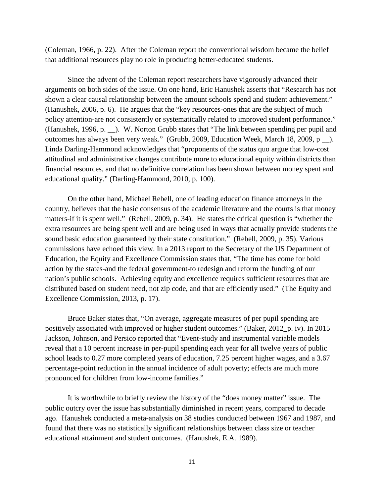(Coleman, 1966, p. 22). After the Coleman report the conventional wisdom became the belief that additional resources play no role in producing better-educated students.

Since the advent of the Coleman report researchers have vigorously advanced their arguments on both sides of the issue. On one hand, Eric Hanushek asserts that "Research has not shown a clear causal relationship between the amount schools spend and student achievement." (Hanushek, 2006, p. 6). He argues that the "key resources-ones that are the subject of much policy attention-are not consistently or systematically related to improved student performance." (Hanushek, 1996, p. \_\_). W. Norton Grubb states that "The link between spending per pupil and outcomes has always been very weak." (Grubb, 2009, Education Week, March 18, 2009, p \_\_). Linda Darling-Hammond acknowledges that "proponents of the status quo argue that low-cost attitudinal and administrative changes contribute more to educational equity within districts than financial resources, and that no definitive correlation has been shown between money spent and educational quality." (Darling-Hammond, 2010, p. 100).

On the other hand, Michael Rebell, one of leading education finance attorneys in the country, believes that the basic consensus of the academic literature and the courts is that money matters-if it is spent well." (Rebell, 2009, p. 34). He states the critical question is "whether the extra resources are being spent well and are being used in ways that actually provide students the sound basic education guaranteed by their state constitution." (Rebell, 2009, p. 35). Various commissions have echoed this view. In a 2013 report to the Secretary of the US Department of Education, the Equity and Excellence Commission states that, "The time has come for bold action by the states-and the federal government-to redesign and reform the funding of our nation's public schools. Achieving equity and excellence requires sufficient resources that are distributed based on student need, not zip code, and that are efficiently used." (The Equity and Excellence Commission, 2013, p. 17).

Bruce Baker states that, "On average, aggregate measures of per pupil spending are positively associated with improved or higher student outcomes." (Baker, 2012\_p. iv). In 2015 Jackson, Johnson, and Persico reported that "Event-study and instrumental variable models reveal that a 10 percent increase in per-pupil spending each year for all twelve years of public school leads to 0.27 more completed years of education, 7.25 percent higher wages, and a 3.67 percentage-point reduction in the annual incidence of adult poverty; effects are much more pronounced for children from low-income families."

It is worthwhile to briefly review the history of the "does money matter" issue. The public outcry over the issue has substantially diminished in recent years, compared to decade ago. Hanushek conducted a meta-analysis on 38 studies conducted between 1967 and 1987, and found that there was no statistically significant relationships between class size or teacher educational attainment and student outcomes. (Hanushek, E.A. 1989).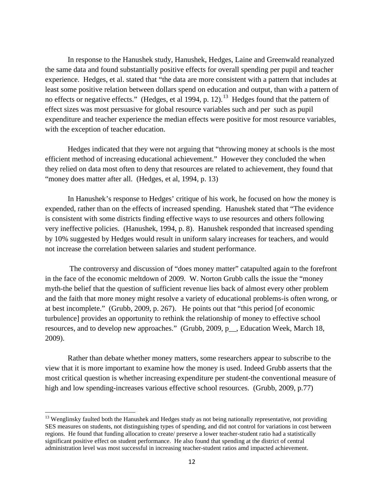In response to the Hanushek study, Hanushek, Hedges, Laine and Greenwald reanalyzed the same data and found substantially positive effects for overall spending per pupil and teacher experience. Hedges, et al. stated that "the data are more consistent with a pattern that includes at least some positive relation between dollars spend on education and output, than with a pattern of no effects or negative effects." (Hedges, et al 1994, p. 12).<sup>13</sup> Hedges found that the pattern of effect sizes was most persuasive for global resource variables such and per such as pupil expenditure and teacher experience the median effects were positive for most resource variables, with the exception of teacher education.

Hedges indicated that they were not arguing that "throwing money at schools is the most efficient method of increasing educational achievement." However they concluded the when they relied on data most often to deny that resources are related to achievement, they found that "money does matter after all. (Hedges, et al, 1994, p. 13)

In Hanushek's response to Hedges' critique of his work, he focused on how the money is expended, rather than on the effects of increased spending. Hanushek stated that "The evidence is consistent with some districts finding effective ways to use resources and others following very ineffective policies. (Hanushek, 1994, p. 8). Hanushek responded that increased spending by 10% suggested by Hedges would result in uniform salary increases for teachers, and would not increase the correlation between salaries and student performance.

The controversy and discussion of "does money matter" catapulted again to the forefront in the face of the economic meltdown of 2009. W. Norton Grubb calls the issue the "money myth-the belief that the question of sufficient revenue lies back of almost every other problem and the faith that more money might resolve a variety of educational problems-is often wrong, or at best incomplete." (Grubb, 2009, p. 267). He points out that "this period [of economic turbulence] provides an opportunity to rethink the relationship of money to effective school resources, and to develop new approaches." (Grubb, 2009, p\_\_, Education Week, March 18, 2009).

 Rather than debate whether money matters, some researchers appear to subscribe to the view that it is more important to examine how the money is used. Indeed Grubb asserts that the most critical question is whether increasing expenditure per student-the conventional measure of high and low spending-increases various effective school resources. (Grubb, 2009, p.77)

<sup>&</sup>lt;sup>13</sup> Wenglinsky faulted both the Hanushek and Hedges study as not being nationally representative, not providing SES measures on students, not distinguishing types of spending, and did not control for variations in cost between regions. He found that funding allocation to create/ preserve a lower teacher-student ratio had a statistically significant positive effect on student performance. He also found that spending at the district of central administration level was most successful in increasing teacher-student ratios amd impacted achievement.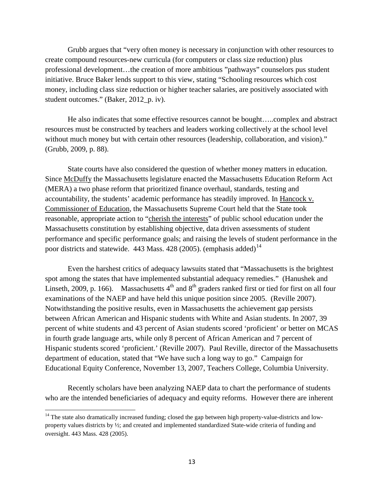Grubb argues that "very often money is necessary in conjunction with other resources to create compound resources-new curricula (for computers or class size reduction) plus professional development…the creation of more ambitious "pathways" counselors pus student initiative. Bruce Baker lends support to this view, stating "Schooling resources which cost money, including class size reduction or higher teacher salaries, are positively associated with student outcomes." (Baker, 2012\_p. iv).

He also indicates that some effective resources cannot be bought…..complex and abstract resources must be constructed by teachers and leaders working collectively at the school level without much money but with certain other resources (leadership, collaboration, and vision)." (Grubb, 2009, p. 88).

State courts have also considered the question of whether money matters in education. Since McDuffy the Massachusetts legislature enacted the Massachusetts Education Reform Act (MERA) a two phase reform that prioritized finance overhaul, standards, testing and accountability, the students' academic performance has steadily improved. In Hancock v. Commissioner of Education, the Massachusetts Supreme Court held that the State took reasonable, appropriate action to "cherish the interests" of public school education under the Massachusetts constitution by establishing objective, data driven assessments of student performance and specific performance goals; and raising the levels of student performance in the poor districts and statewide. 443 Mass. 428 (2005). (emphasis added)<sup>14</sup>

Even the harshest critics of adequacy lawsuits stated that "Massachusetts is the brightest spot among the states that have implemented substantial adequacy remedies." (Hanushek and Linseth, 2009, p. 166). Massachusetts  $4<sup>th</sup>$  and  $8<sup>th</sup>$  graders ranked first or tied for first on all four examinations of the NAEP and have held this unique position since 2005. (Reville 2007). Notwithstanding the positive results, even in Massachusetts the achievement gap persists between African American and Hispanic students with White and Asian students. In 2007, 39 percent of white students and 43 percent of Asian students scored 'proficient' or better on MCAS in fourth grade language arts, while only 8 percent of African American and 7 percent of Hispanic students scored 'proficient.' (Reville 2007). Paul Reville, director of the Massachusetts department of education, stated that "We have such a long way to go." Campaign for Educational Equity Conference, November 13, 2007, Teachers College, Columbia University.

Recently scholars have been analyzing NAEP data to chart the performance of students who are the intended beneficiaries of adequacy and equity reforms. However there are inherent

<sup>&</sup>lt;sup>14</sup> The state also dramatically increased funding; closed the gap between high property-value-districts and lowproperty values districts by ½; and created and implemented standardized State-wide criteria of funding and oversight. 443 Mass. 428 (2005).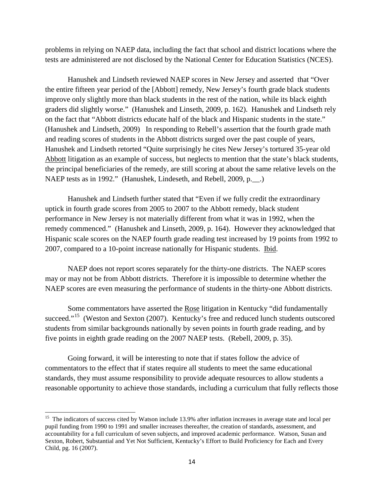problems in relying on NAEP data, including the fact that school and district locations where the tests are administered are not disclosed by the National Center for Education Statistics (NCES).

Hanushek and Lindseth reviewed NAEP scores in New Jersey and asserted that "Over the entire fifteen year period of the [Abbott] remedy, New Jersey's fourth grade black students improve only slightly more than black students in the rest of the nation, while its black eighth graders did slightly worse." (Hanushek and Linseth, 2009, p. 162). Hanushek and Lindseth rely on the fact that "Abbott districts educate half of the black and Hispanic students in the state." (Hanushek and Lindseth, 2009) In responding to Rebell's assertion that the fourth grade math and reading scores of students in the Abbott districts surged over the past couple of years, Hanushek and Lindseth retorted "Quite surprisingly he cites New Jersey's tortured 35-year old Abbott litigation as an example of success, but neglects to mention that the state's black students, the principal beneficiaries of the remedy, are still scoring at about the same relative levels on the NAEP tests as in 1992." (Hanushek, Lindeseth, and Rebell, 2009, p.\_\_.)

Hanushek and Lindseth further stated that "Even if we fully credit the extraordinary uptick in fourth grade scores from 2005 to 2007 to the Abbott remedy, black student performance in New Jersey is not materially different from what it was in 1992, when the remedy commenced." (Hanushek and Linseth, 2009, p. 164). However they acknowledged that Hispanic scale scores on the NAEP fourth grade reading test increased by 19 points from 1992 to 2007, compared to a 10-point increase nationally for Hispanic students. Ibid.

NAEP does not report scores separately for the thirty-one districts. The NAEP scores may or may not be from Abbott districts. Therefore it is impossible to determine whether the NAEP scores are even measuring the performance of students in the thirty-one Abbott districts.

Some commentators have asserted the Rose litigation in Kentucky "did fundamentally succeed."<sup>15</sup> (Weston and Sexton (2007). Kentucky's free and reduced lunch students outscored students from similar backgrounds nationally by seven points in fourth grade reading, and by five points in eighth grade reading on the 2007 NAEP tests. (Rebell, 2009, p. 35).

Going forward, it will be interesting to note that if states follow the advice of commentators to the effect that if states require all students to meet the same educational standards, they must assume responsibility to provide adequate resources to allow students a reasonable opportunity to achieve those standards, including a curriculum that fully reflects those

<sup>&</sup>lt;sup>15</sup> The indicators of success cited by Watson include 13.9% after inflation increases in average state and local per pupil funding from 1990 to 1991 and smaller increases thereafter, the creation of standards, assessment, and accountability for a full curriculum of seven subjects, and improved academic performance. Watson, Susan and Sexton, Robert, Substantial and Yet Not Sufficient, Kentucky's Effort to Build Proficiency for Each and Every Child, pg. 16 (2007).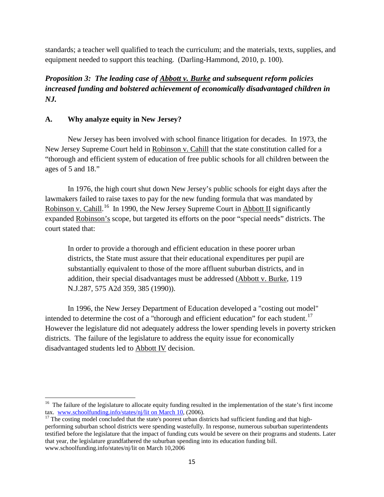standards; a teacher well qualified to teach the curriculum; and the materials, texts, supplies, and equipment needed to support this teaching. (Darling-Hammond, 2010, p. 100).

## *Proposition 3: The leading case of Abbott v. Burke and subsequent reform policies increased funding and bolstered achievement of economically disadvantaged children in NJ.*

## **A. Why analyze equity in New Jersey?**

l

New Jersey has been involved with school finance litigation for decades. In 1973, the New Jersey Supreme Court held in Robinson v. Cahill that the state constitution called for a "thorough and efficient system of education of free public schools for all children between the ages of 5 and 18."

In 1976, the high court shut down New Jersey's public schools for eight days after the lawmakers failed to raise taxes to pay for the new funding formula that was mandated by Robinson v. Cahill.<sup>16</sup> In 1990, the New Jersey Supreme Court in Abbott II significantly expanded Robinson's scope, but targeted its efforts on the poor "special needs" districts. The court stated that:

In order to provide a thorough and efficient education in these poorer urban districts, the State must assure that their educational expenditures per pupil are substantially equivalent to those of the more affluent suburban districts, and in addition, their special disadvantages must be addressed (Abbott v. Burke, 119 N.J.287, 575 A2d 359, 385 (1990)).

In 1996, the New Jersey Department of Education developed a "costing out model" intended to determine the cost of a "thorough and efficient education" for each student.<sup>17</sup> However the legislature did not adequately address the lower spending levels in poverty stricken districts. The failure of the legislature to address the equity issue for economically disadvantaged students led to Abbott IV decision.

<sup>&</sup>lt;sup>16</sup> The failure of the legislature to allocate equity funding resulted in the implementation of the state's first income tax. www.schoolfunding.info/states/nj/lit on March 10, (2006).

 $17$  The costing model concluded that the state's poorest urban districts had sufficient funding and that highperforming suburban school districts were spending wastefully. In response, numerous suburban superintendents testified before the legislature that the impact of funding cuts would be severe on their programs and students. Later that year, the legislature grandfathered the suburban spending into its education funding bill. www.schoolfunding.info/states/nj/lit on March 10,2006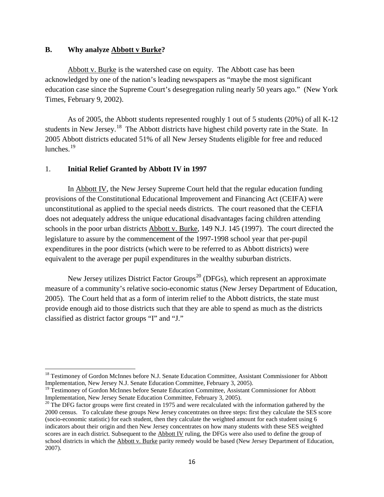#### **B. Why analyze Abbott v Burke?**

Abbott v. Burke is the watershed case on equity. The Abbott case has been acknowledged by one of the nation's leading newspapers as "maybe the most significant education case since the Supreme Court's desegregation ruling nearly 50 years ago." (New York Times, February 9, 2002).

As of 2005, the Abbott students represented roughly 1 out of 5 students (20%) of all K-12 students in New Jersey.<sup>18</sup> The Abbott districts have highest child poverty rate in the State. In 2005 Abbott districts educated 51% of all New Jersey Students eligible for free and reduced lunches. $19$ 

### 1. **Initial Relief Granted by Abbott IV in 1997**

In Abbott IV, the New Jersey Supreme Court held that the regular education funding provisions of the Constitutional Educational Improvement and Financing Act (CEIFA) were unconstitutional as applied to the special needs districts. The court reasoned that the CEFIA does not adequately address the unique educational disadvantages facing children attending schools in the poor urban districts Abbott v. Burke, 149 N.J. 145 (1997). The court directed the legislature to assure by the commencement of the 1997-1998 school year that per-pupil expenditures in the poor districts (which were to be referred to as Abbott districts) were equivalent to the average per pupil expenditures in the wealthy suburban districts.

New Jersey utilizes District Factor Groups<sup>20</sup> (DFGs), which represent an approximate measure of a community's relative socio-economic status (New Jersey Department of Education, 2005). The Court held that as a form of interim relief to the Abbott districts, the state must provide enough aid to those districts such that they are able to spend as much as the districts classified as district factor groups "I" and "J."

 $\overline{\phantom{a}}$ <sup>18</sup> Testimoney of Gordon McInnes before N.J. Senate Education Committee, Assistant Commissioner for Abbott Implementation, New Jersey N.J. Senate Education Committee, February 3, 2005).

<sup>&</sup>lt;sup>19</sup> Testimoney of Gordon McInnes before Senate Education Committee, Assistant Commissioner for Abbott Implementation, New Jersey Senate Education Committee, February 3, 2005).

 $20$  The DFG factor groups were first created in 1975 and were recalculated with the information gathered by the 2000 census. To calculate these groups New Jersey concentrates on three steps: first they calculate the SES score (socio-economic statistic) for each student, then they calculate the weighted amount for each student using 6 indicators about their origin and then New Jersey concentrates on how many students with these SES weighted scores are in each district*.* Subsequent to the Abbott IV ruling, the DFGs were also used to define the group of school districts in which the **Abbott v. Burke** parity remedy would be based (New Jersey Department of Education, 2007).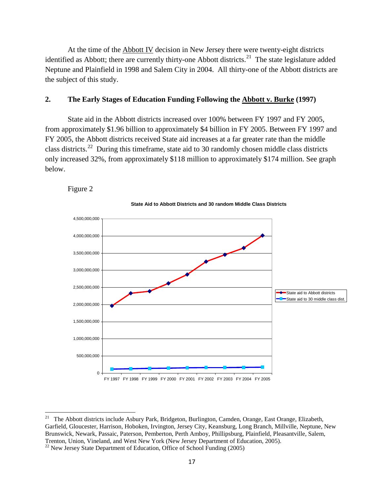At the time of the **Abbott IV** decision in New Jersey there were twenty-eight districts identified as Abbott; there are currently thirty-one Abbott districts.<sup>21</sup> The state legislature added Neptune and Plainfield in 1998 and Salem City in 2004. All thirty-one of the Abbott districts are the subject of this study.

#### **2. The Early Stages of Education Funding Following the Abbott v. Burke (1997)**

State aid in the Abbott districts increased over 100% between FY 1997 and FY 2005, from approximately \$1.96 billion to approximately \$4 billion in FY 2005. Between FY 1997 and FY 2005, the Abbott districts received State aid increases at a far greater rate than the middle class districts.22 During this timeframe, state aid to 30 randomly chosen middle class districts only increased 32%, from approximately \$118 million to approximately \$174 million. See graph below.







<sup>&</sup>lt;sup>21</sup> The Abbott districts include Asbury Park, Bridgeton, Burlington, Camden, Orange, East Orange, Elizabeth, Garfield, Gloucester, Harrison, Hoboken, Irvington, Jersey City, Keansburg, Long Branch, Millville, Neptune, New Brunswick, Newark, Passaic, Paterson, Pemberton, Perth Amboy, Phillipsburg, Plainfield, Pleasantville, Salem, Trenton, Union, Vineland, and West New York (New Jersey Department of Education, 2005). <sup>22</sup> New Jersey State Department of Education, Office of School Funding (2005)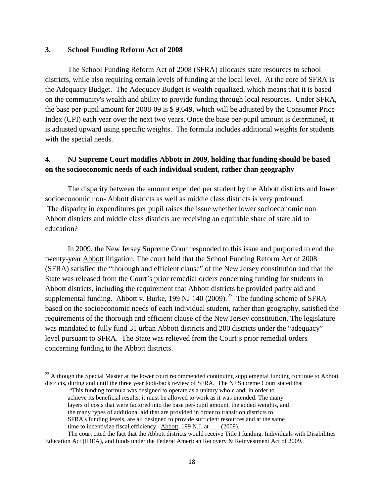#### **3. School Funding Reform Act of 2008**

 $\overline{\phantom{a}}$ 

The School Funding Reform Act of 2008 (SFRA) allocates state resources to school districts, while also requiring certain levels of funding at the local level. At the core of SFRA is the Adequacy Budget. The Adequacy Budget is wealth equalized, which means that it is based on the community's wealth and ability to provide funding through local resources. Under SFRA, the base per-pupil amount for 2008-09 is \$ 9,649, which will be adjusted by the Consumer Price Index (CPI) each year over the next two years. Once the base per-pupil amount is determined, it is adjusted upward using specific weights. The formula includes additional weights for students with the special needs.

## **4. NJ Supreme Court modifies Abbott in 2009, holding that funding should be based on the socioeconomic needs of each individual student, rather than geography**

The disparity between the amount expended per student by the Abbott districts and lower socioeconomic non- Abbott districts as well as middle class districts is very profound. The disparity in expenditures per pupil raises the issue whether lower socioeconomic non Abbott districts and middle class districts are receiving an equitable share of state aid to education?

In 2009, the New Jersey Supreme Court responded to this issue and purported to end the twenty-year Abbott litigation. The court held that the School Funding Reform Act of 2008 (SFRA) satisfied the "thorough and efficient clause" of the New Jersey constitution and that the State was released from the Court's prior remedial orders concerning funding for students in Abbott districts, including the requirement that Abbott districts be provided parity aid and supplemental funding. Abbott v. Burke, 199 NJ 140 (2009).<sup>23</sup> The funding scheme of SFRA based on the socioeconomic needs of each individual student, rather than geography, satisfied the requirements of the thorough and efficient clause of the New Jersey constitution. The legislature was mandated to fully fund 31 urban Abbott districts and 200 districts under the "adequacy" level pursuant to SFRA. The State was relieved from the Court's prior remedial orders concerning funding to the Abbott districts.

 $^{23}$  Although the Special Master at the lower court recommended continuing supplemental funding continue to Abbott districts, during and until the three year look-back review of SFRA. The NJ Supreme Court stated that

<sup>&</sup>quot;This funding formula was designed to operate as a unitary whole and, in order to achieve its beneficial results, it must be allowed to work as it was intended. The many layers of costs that were factored into the base per-pupil amount, the added weights, and the many types of additional aid that are provided in order to transition districts to SFRA's funding levels, are all designed to provide sufficient resources and at the same time to incentivize fiscal efficiency. Abbott, 199 N.J. at \_\_\_ (2009).

The court cited the fact that the Abbott districts would receive Title I funding, Individuals with Disabilities Education Act (IDEA), and funds under the Federal American Recovery & Reinvestment Act of 2009.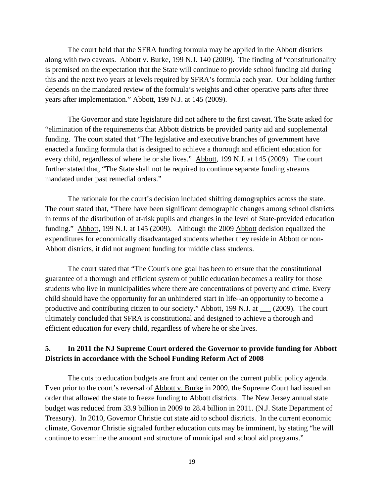The court held that the SFRA funding formula may be applied in the Abbott districts along with two caveats. Abbott v. Burke, 199 N.J. 140 (2009). The finding of "constitutionality is premised on the expectation that the State will continue to provide school funding aid during this and the next two years at levels required by SFRA's formula each year. Our holding further depends on the mandated review of the formula's weights and other operative parts after three years after implementation." Abbott, 199 N.J. at 145 (2009).

The Governor and state legislature did not adhere to the first caveat. The State asked for "elimination of the requirements that Abbott districts be provided parity aid and supplemental funding. The court stated that "The legislative and executive branches of government have enacted a funding formula that is designed to achieve a thorough and efficient education for every child, regardless of where he or she lives." Abbott, 199 N.J. at 145 (2009). The court further stated that, "The State shall not be required to continue separate funding streams mandated under past remedial orders."

The rationale for the court's decision included shifting demographics across the state. The court stated that, "There have been significant demographic changes among school districts in terms of the distribution of at-risk pupils and changes in the level of State-provided education funding." Abbott, 199 N.J. at 145 (2009). Although the 2009 Abbott decision equalized the expenditures for economically disadvantaged students whether they reside in Abbott or non-Abbott districts, it did not augment funding for middle class students.

The court stated that "The Court's one goal has been to ensure that the constitutional guarantee of a thorough and efficient system of public education becomes a reality for those students who live in municipalities where there are concentrations of poverty and crime. Every child should have the opportunity for an unhindered start in life--an opportunity to become a productive and contributing citizen to our society." Abbott, 199 N.J. at \_\_\_ (2009). The court ultimately concluded that SFRA is constitutional and designed to achieve a thorough and efficient education for every child, regardless of where he or she lives.

## **5. In 2011 the NJ Supreme Court ordered the Governor to provide funding for Abbott Districts in accordance with the School Funding Reform Act of 2008**

The cuts to education budgets are front and center on the current public policy agenda. Even prior to the court's reversal of Abbott v. Burke in 2009, the Supreme Court had issued an order that allowed the state to freeze funding to Abbott districts. The New Jersey annual state budget was reduced from 33.9 billion in 2009 to 28.4 billion in 2011. (N.J. State Department of Treasury). In 2010, Governor Christie cut state aid to school districts. In the current economic climate, Governor Christie signaled further education cuts may be imminent, by stating "he will continue to examine the amount and structure of municipal and school aid programs."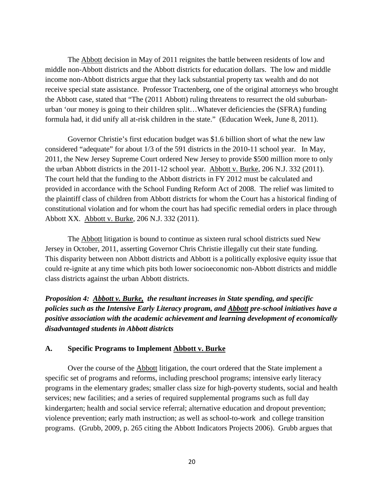The Abbott decision in May of 2011 reignites the battle between residents of low and middle non-Abbott districts and the Abbott districts for education dollars. The low and middle income non-Abbott districts argue that they lack substantial property tax wealth and do not receive special state assistance. Professor Tractenberg, one of the original attorneys who brought the Abbott case, stated that "The (2011 Abbott) ruling threatens to resurrect the old suburbanurban 'our money is going to their children split…Whatever deficiencies the (SFRA) funding formula had, it did unify all at-risk children in the state." (Education Week, June 8, 2011).

Governor Christie's first education budget was \$1.6 billion short of what the new law considered "adequate" for about 1/3 of the 591 districts in the 2010-11 school year. In May, 2011, the New Jersey Supreme Court ordered New Jersey to provide \$500 million more to only the urban Abbott districts in the 2011-12 school year. Abbott v. Burke, 206 N.J. 332 (2011). The court held that the funding to the Abbott districts in FY 2012 must be calculated and provided in accordance with the School Funding Reform Act of 2008. The relief was limited to the plaintiff class of children from Abbott districts for whom the Court has a historical finding of constitutional violation and for whom the court has had specific remedial orders in place through Abbott XX. Abbott v. Burke, 206 N.J. 332 (2011).

The Abbott litigation is bound to continue as sixteen rural school districts sued New Jersey in October, 2011, asserting Governor Chris Christie illegally cut their state funding. This disparity between non Abbott districts and Abbott is a politically explosive equity issue that could re-ignite at any time which pits both lower socioeconomic non-Abbott districts and middle class districts against the urban Abbott districts.

*Proposition 4: Abbott v. Burke, the resultant increases in State spending, and specific policies such as the Intensive Early Literacy program, and Abbott pre-school initiatives have a positive association with the academic achievement and learning development of economically disadvantaged students in Abbott districts*

#### **A. Specific Programs to Implement Abbott v. Burke**

Over the course of the Abbott litigation, the court ordered that the State implement a specific set of programs and reforms, including preschool programs; intensive early literacy programs in the elementary grades; smaller class size for high-poverty students, social and health services; new facilities; and a series of required supplemental programs such as full day kindergarten; health and social service referral; alternative education and dropout prevention; violence prevention; early math instruction; as well as school-to-work and college transition programs. (Grubb, 2009, p. 265 citing the Abbott Indicators Projects 2006). Grubb argues that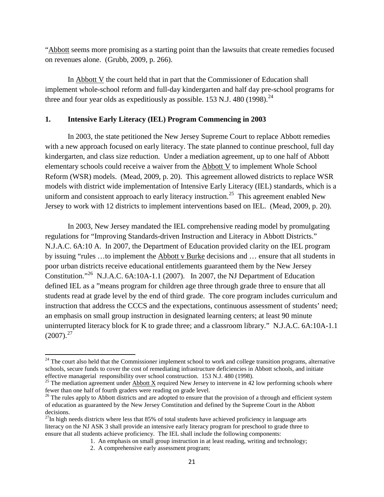"Abbott seems more promising as a starting point than the lawsuits that create remedies focused on revenues alone. (Grubb, 2009, p. 266).

In  *the court held that in part that the Commissioner of Education shall* implement whole-school reform and full-day kindergarten and half day pre-school programs for three and four year olds as expeditiously as possible. 153 N.J. 480 (1998).<sup>24</sup>

#### **1. Intensive Early Literacy (IEL) Program Commencing in 2003**

In 2003, the state petitioned the New Jersey Supreme Court to replace Abbott remedies with a new approach focused on early literacy. The state planned to continue preschool, full day kindergarten, and class size reduction. Under a mediation agreement, up to one half of Abbott elementary schools could receive a waiver from the Abbott V to implement Whole School Reform (WSR) models. (Mead, 2009, p. 20). This agreement allowed districts to replace WSR models with district wide implementation of Intensive Early Literacy (IEL) standards, which is a uniform and consistent approach to early literacy instruction.<sup>25</sup> This agreement enabled New Jersey to work with 12 districts to implement interventions based on IEL. (Mead, 2009, p. 20).

In 2003, New Jersey mandated the IEL comprehensive reading model by promulgating regulations for "Improving Standards-driven Instruction and Literacy in Abbott Districts." N.J.A.C. 6A:10 A. In 2007, the Department of Education provided clarity on the IEL program by issuing "rules …to implement the Abbott v Burke decisions and … ensure that all students in poor urban districts receive educational entitlements guaranteed them by the New Jersey Constitution."26 N.J.A.C. 6A:10A-1.1 (2007). In 2007, the NJ Department of Education defined IEL as a "means program for children age three through grade three to ensure that all students read at grade level by the end of third grade. The core program includes curriculum and instruction that address the CCCS and the expectations, continuous assessment of students' need; an emphasis on small group instruction in designated learning centers; at least 90 minute uninterrupted literacy block for K to grade three; and a classroom library." N.J.A.C. 6A:10A-1.1  $(2007)$ <sup>27</sup>

l

 $24$  The court also held that the Commissioner implement school to work and college transition programs, alternative schools, secure funds to cover the cost of remediating infrastructure deficiencies in Abbott schools, and initiate effective managerial responsibility over school construction. 153 N.J. 480 (1998).

<sup>&</sup>lt;sup>25</sup> The mediation agreement under  $\frac{\text{Abbott X}}{\text{Required New Jersey}}$  to intervene in 42 low performing schools where fewer than one half of fourth graders were reading on grade level.

 $^{26}$  The rules apply to Abbott districts and are adopted to ensure that the provision of a through and efficient system of education as guaranteed by the New Jersey Constitution and defined by the Supreme Court in the Abbott decisions.

 $^{27}$ In high needs districts where less that 85% of total students have achieved proficiency in language arts literacy on the NJ ASK 3 shall provide an intensive early literacy program for preschool to grade three to ensure that all students achieve proficiency. The IEL shall include the following components:

<sup>1.</sup> An emphasis on small group instruction in at least reading, writing and technology;

<sup>2.</sup> A comprehensive early assessment program;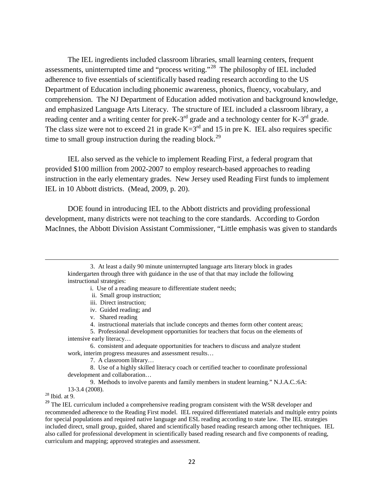The IEL ingredients included classroom libraries, small learning centers, frequent assessments, uninterrupted time and "process writing."28 The philosophy of IEL included adherence to five essentials of scientifically based reading research according to the US Department of Education including phonemic awareness, phonics, fluency, vocabulary, and comprehension. The NJ Department of Education added motivation and background knowledge, and emphasized Language Arts Literacy. The structure of IEL included a classroom library, a reading center and a writing center for preK-3<sup>rd</sup> grade and a technology center for K-3<sup>rd</sup> grade. The class size were not to exceed 21 in grade  $K=3<sup>rd</sup>$  and 15 in pre K. IEL also requires specific time to small group instruction during the reading block.<sup>29</sup>

IEL also served as the vehicle to implement Reading First, a federal program that provided \$100 million from 2002-2007 to employ research-based approaches to reading instruction in the early elementary grades. New Jersey used Reading First funds to implement IEL in 10 Abbott districts. (Mead, 2009, p. 20).

DOE found in introducing IEL to the Abbott districts and providing professional development, many districts were not teaching to the core standards. According to Gordon MacInnes, the Abbott Division Assistant Commissioner, "Little emphasis was given to standards

- i. Use of a reading measure to differentiate student needs;
- ii. Small group instruction;
- iii. Direct instruction;
- iv. Guided reading; and
- v. Shared reading
- 4. instructional materials that include concepts and themes form other content areas;
- 5. Professional development opportunities for teachers that focus on the elements of intensive early literacy…
- 6. consistent and adequate opportunities for teachers to discuss and analyze student work, interim progress measures and assessment results…

7. A classroom library…

8. Use of a highly skilled literacy coach or certified teacher to coordinate professional development and collaboration…

9. Methods to involve parents and family members in student learning." N.J.A.C.:6A:

 $13-3.4$  (2008).<br><sup>28</sup> Ibid. at 9.

 $\overline{\phantom{a}}$ 

<sup>29</sup> The IEL curriculum included a comprehensive reading program consistent with the WSR developer and recommended adherence to the Reading First model. IEL required differentiated materials and multiple entry points for special populations and required native language and ESL reading according to state law. The IEL strategies included direct, small group, guided, shared and scientifically based reading research among other techniques. IEL also called for professional development in scientifically based reading research and five components of reading, curriculum and mapping; approved strategies and assessment.

<sup>3.</sup> At least a daily 90 minute uninterrupted language arts literary block in grades kindergarten through three with guidance in the use of that that may include the following instructional strategies: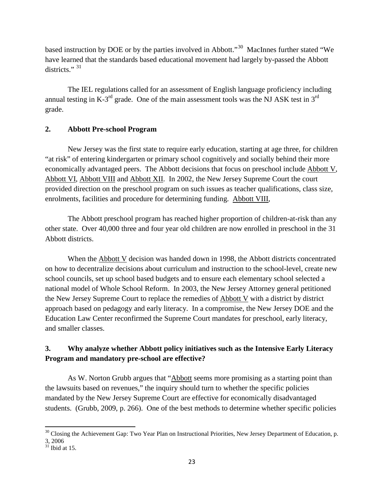based instruction by DOE or by the parties involved in Abbott."30 MacInnes further stated "We have learned that the standards based educational movement had largely by-passed the Abbott districts."<sup>31</sup>

The IEL regulations called for an assessment of English language proficiency including annual testing in K-3<sup>rd</sup> grade. One of the main assessment tools was the NJ ASK test in 3<sup>rd</sup> grade.

## **2. Abbott Pre-school Program**

New Jersey was the first state to require early education, starting at age three, for children "at risk" of entering kindergarten or primary school cognitively and socially behind their more economically advantaged peers. The Abbott decisions that focus on preschool include Abbott V, Abbott VI, Abbott VIII and Abbott XII. In 2002, the New Jersey Supreme Court the court provided direction on the preschool program on such issues as teacher qualifications, class size, enrolments, facilities and procedure for determining funding. Abbott VIII,

The Abbott preschool program has reached higher proportion of children-at-risk than any other state. Over 40,000 three and four year old children are now enrolled in preschool in the 31 Abbott districts.

When the Abbott V decision was handed down in 1998, the Abbott districts concentrated on how to decentralize decisions about curriculum and instruction to the school-level, create new school councils, set up school based budgets and to ensure each elementary school selected a national model of Whole School Reform. In 2003, the New Jersey Attorney general petitioned the New Jersey Supreme Court to replace the remedies of Abbott V with a district by district approach based on pedagogy and early literacy. In a compromise, the New Jersey DOE and the Education Law Center reconfirmed the Supreme Court mandates for preschool, early literacy, and smaller classes.

## **3. Why analyze whether Abbott policy initiatives such as the Intensive Early Literacy Program and mandatory pre-school are effective?**

As W. Norton Grubb argues that "Abbott seems more promising as a starting point than the lawsuits based on revenues," the inquiry should turn to whether the specific policies mandated by the New Jersey Supreme Court are effective for economically disadvantaged students. (Grubb, 2009, p. 266). One of the best methods to determine whether specific policies

 $30$  Closing the Achievement Gap: Two Year Plan on Instructional Priorities, New Jersey Department of Education, p. 3, 2006

 $31$  Ibid at 15.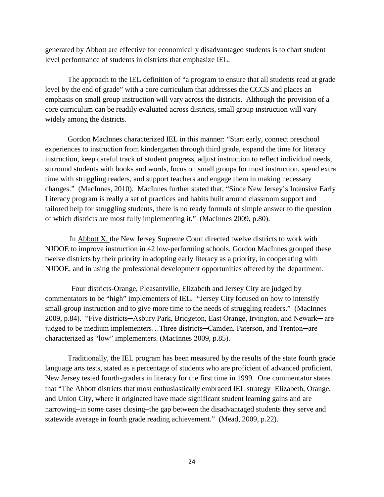generated by Abbott are effective for economically disadvantaged students is to chart student level performance of students in districts that emphasize IEL.

The approach to the IEL definition of "a program to ensure that all students read at grade level by the end of grade" with a core curriculum that addresses the CCCS and places an emphasis on small group instruction will vary across the districts. Although the provision of a core curriculum can be readily evaluated across districts, small group instruction will vary widely among the districts.

Gordon MacInnes characterized IEL in this manner: "Start early, connect preschool experiences to instruction from kindergarten through third grade, expand the time for literacy instruction, keep careful track of student progress, adjust instruction to reflect individual needs, surround students with books and words, focus on small groups for most instruction, spend extra time with struggling readers, and support teachers and engage them in making necessary changes." (MacInnes, 2010). MacInnes further stated that, "Since New Jersey's Intensive Early Literacy program is really a set of practices and habits built around classroom support and tailored help for struggling students, there is no ready formula of simple answer to the question of which districts are most fully implementing it." (MacInnes 2009, p.80).

In Abbott X, the New Jersey Supreme Court directed twelve districts to work with NJDOE to improve instruction in 42 low-performing schools. Gordon MacInnes grouped these twelve districts by their priority in adopting early literacy as a priority, in cooperating with NJDOE, and in using the professional development opportunities offered by the department.

 Four districts-Orange, Pleasantville, Elizabeth and Jersey City are judged by commentators to be "high" implementers of IEL. "Jersey City focused on how to intensify small-group instruction and to give more time to the needs of struggling readers." (MacInnes 2009, p.84). "Five districts─Asbury Park, Bridgeton, East Orange, Irvington, and Newark─ are judged to be medium implementers...Three districts-Camden, Paterson, and Trenton-are characterized as "low" implementers. (MacInnes 2009, p.85).

Traditionally, the IEL program has been measured by the results of the state fourth grade language arts tests, stated as a percentage of students who are proficient of advanced proficient. New Jersey tested fourth-graders in literacy for the first time in 1999. One commentator states that "The Abbott districts that most enthusiastically embraced IEL strategy−Elizabeth, Orange, and Union City, where it originated have made significant student learning gains and are narrowing−in some cases closing−the gap between the disadvantaged students they serve and statewide average in fourth grade reading achievement." (Mead, 2009, p.22).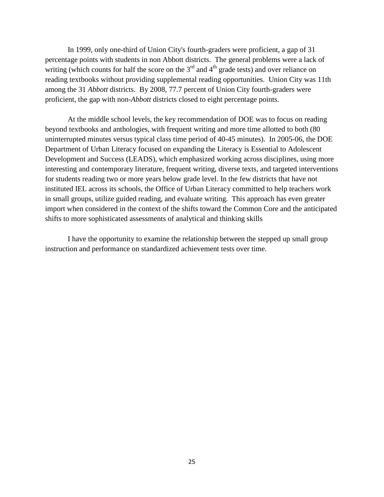In 1999, only one-third of Union City's fourth-graders were proficient, a gap of 31 percentage points with students in non Abbott districts. The general problems were a lack of writing (which counts for half the score on the  $3<sup>rd</sup>$  and  $4<sup>th</sup>$  grade tests) and over reliance on reading textbooks without providing supplemental reading opportunities. Union City was 11th among the 31 *Abbott* districts. By 2008, 77.7 percent of Union City fourth-graders were proficient, the gap with non-*Abbott* districts closed to eight percentage points.

At the middle school levels, the key recommendation of DOE was to focus on reading beyond textbooks and anthologies, with frequent writing and more time allotted to both (80 uninterrupted minutes versus typical class time period of 40-45 minutes). In 2005-06, the DOE Department of Urban Literacy focused on expanding the Literacy is Essential to Adolescent Development and Success (LEADS), which emphasized working across disciplines, using more interesting and contemporary literature, frequent writing, diverse texts, and targeted interventions for students reading two or more years below grade level. In the few districts that have not instituted IEL across its schools, the Office of Urban Literacy committed to help teachers work in small groups, utilize guided reading, and evaluate writing. This approach has even greater import when considered in the context of the shifts toward the Common Core and the anticipated shifts to more sophisticated assessments of analytical and thinking skills

I have the opportunity to examine the relationship between the stepped up small group instruction and performance on standardized achievement tests over time.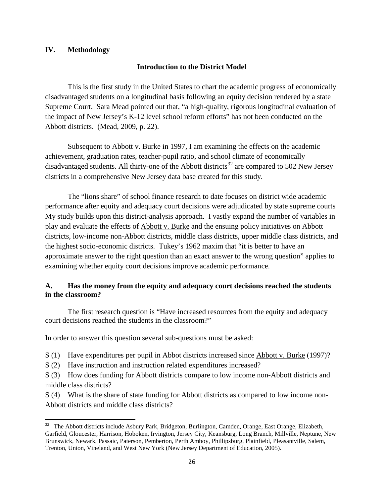### **IV. Methodology**

l

### **Introduction to the District Model**

This is the first study in the United States to chart the academic progress of economically disadvantaged students on a longitudinal basis following an equity decision rendered by a state Supreme Court. Sara Mead pointed out that, "a high-quality, rigorous longitudinal evaluation of the impact of New Jersey's K-12 level school reform efforts" has not been conducted on the Abbott districts. (Mead, 2009, p. 22).

Subsequent to **Abbott v. Burke** in 1997, I am examining the effects on the academic achievement, graduation rates, teacher-pupil ratio, and school climate of economically disadvantaged students. All thirty-one of the Abbott districts<sup>32</sup> are compared to 502 New Jersey districts in a comprehensive New Jersey data base created for this study.

The "lions share" of school finance research to date focuses on district wide academic performance after equity and adequacy court decisions were adjudicated by state supreme courts My study builds upon this district-analysis approach. I vastly expand the number of variables in play and evaluate the effects of Abbott v. Burke and the ensuing policy initiatives on Abbott districts, low-income non-Abbott districts, middle class districts, upper middle class districts, and the highest socio-economic districts. Tukey's 1962 maxim that "it is better to have an approximate answer to the right question than an exact answer to the wrong question" applies to examining whether equity court decisions improve academic performance.

### **A. Has the money from the equity and adequacy court decisions reached the students in the classroom?**

The first research question is "Have increased resources from the equity and adequacy court decisions reached the students in the classroom?"

In order to answer this question several sub-questions must be asked:

S (1) Have expenditures per pupil in Abbot districts increased since Abbott v. Burke (1997)?

S (2) Have instruction and instruction related expenditures increased?

S (3) How does funding for Abbott districts compare to low income non-Abbott districts and middle class districts?

S (4) What is the share of state funding for Abbott districts as compared to low income non-Abbott districts and middle class districts?

<sup>&</sup>lt;sup>32</sup> The Abbott districts include Asbury Park, Bridgeton, Burlington, Camden, Orange, East Orange, Elizabeth, Garfield, Gloucester, Harrison, Hoboken, Irvington, Jersey City, Keansburg, Long Branch, Millville, Neptune, New Brunswick, Newark, Passaic, Paterson, Pemberton, Perth Amboy, Phillipsburg, Plainfield, Pleasantville, Salem, Trenton, Union, Vineland, and West New York (New Jersey Department of Education, 2005).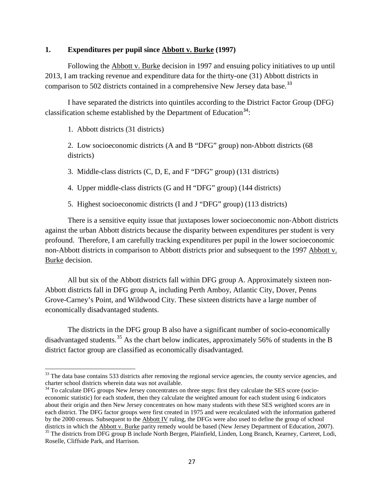#### **1. Expenditures per pupil since Abbott v. Burke (1997)**

Following the Abbott v. Burke decision in 1997 and ensuing policy initiatives to up until 2013, I am tracking revenue and expenditure data for the thirty-one (31) Abbott districts in comparison to 502 districts contained in a comprehensive New Jersey data base.<sup>33</sup>

I have separated the districts into quintiles according to the District Factor Group (DFG) classification scheme established by the Department of Education<sup>34</sup>:

1. Abbott districts (31 districts)

 $\overline{\phantom{a}}$ 

2. Low socioeconomic districts (A and B "DFG" group) non-Abbott districts (68 districts)

3. Middle-class districts (C, D, E, and F "DFG" group) (131 districts)

4. Upper middle-class districts (G and H "DFG" group) (144 districts)

5. Highest socioeconomic districts (I and J "DFG" group) (113 districts)

There is a sensitive equity issue that juxtaposes lower socioeconomic non-Abbott districts against the urban Abbott districts because the disparity between expenditures per student is very profound. Therefore, I am carefully tracking expenditures per pupil in the lower socioeconomic non-Abbott districts in comparison to Abbott districts prior and subsequent to the 1997 Abbott v. Burke decision.

All but six of the Abbott districts fall within DFG group A. Approximately sixteen non-Abbott districts fall in DFG group A, including Perth Amboy, Atlantic City, Dover, Penns Grove-Carney's Point, and Wildwood City. These sixteen districts have a large number of economically disadvantaged students.

The districts in the DFG group B also have a significant number of socio-economically disadvantaged students.<sup>35</sup> As the chart below indicates, approximately 56% of students in the B district factor group are classified as economically disadvantaged.

 $33$  The data base contains 533 districts after removing the regional service agencies, the county service agencies, and charter school districts wherein data was not available.

<sup>&</sup>lt;sup>34</sup> To calculate DFG groups New Jersey concentrates on three steps: first they calculate the SES score (socioeconomic statistic) for each student, then they calculate the weighted amount for each student using 6 indicators about their origin and then New Jersey concentrates on how many students with these SES weighted scores are in each district. The DFG factor groups were first created in 1975 and were recalculated with the information gathered by the 2000 census. Subsequent to the  $\Delta$ bbott IV ruling, the DFGs were also used to define the group of school districts in which the Abbott v. Burke parity remedy would be based (New Jersey Department of Education, 200 <sup>35</sup> The districts from DFG group B include North Bergen, Plainfield, Linden, Long Branch, Kearney, Carteret, Lodi, Roselle, Cliffside Park, and Harrison.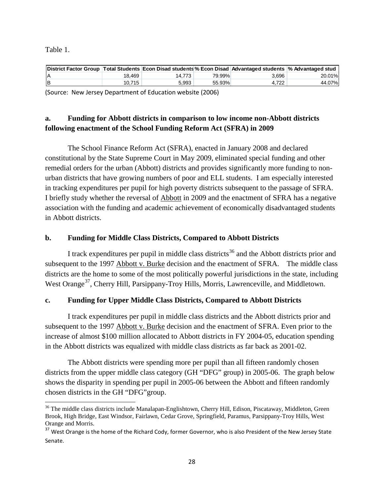Table 1.

 $\overline{\phantom{a}}$ 

| District Factor Group   Total Students   Econ Disad students % Econ Disad   Advantaged students   % Advantaged stud |        |        |        |       |        |
|---------------------------------------------------------------------------------------------------------------------|--------|--------|--------|-------|--------|
| ΙA                                                                                                                  | 18.469 | 14.773 | 79.99% | 3.696 | 20.01% |
| lв                                                                                                                  | 10.715 | 5.993  | 55.93% | 4.722 | 44.07% |

(Source: New Jersey Department of Education website (2006)

## **a. Funding for Abbott districts in comparison to low income non-Abbott districts following enactment of the School Funding Reform Act (SFRA) in 2009**

The School Finance Reform Act (SFRA), enacted in January 2008 and declared constitutional by the State Supreme Court in May 2009, eliminated special funding and other remedial orders for the urban (Abbott) districts and provides significantly more funding to nonurban districts that have growing numbers of poor and ELL students. I am especially interested in tracking expenditures per pupil for high poverty districts subsequent to the passage of SFRA. I briefly study whether the reversal of Abbott in 2009 and the enactment of SFRA has a negative association with the funding and academic achievement of economically disadvantaged students in Abbott districts.

## **b. Funding for Middle Class Districts, Compared to Abbott Districts**

I track expenditures per pupil in middle class districts<sup>36</sup> and the Abbott districts prior and subsequent to the 1997 Abbott v. Burke decision and the enactment of SFRA. The middle class districts are the home to some of the most politically powerful jurisdictions in the state, including West Orange<sup>37</sup>, Cherry Hill, Parsippany-Troy Hills, Morris, Lawrenceville, and Middletown.

## **c. Funding for Upper Middle Class Districts, Compared to Abbott Districts**

I track expenditures per pupil in middle class districts and the Abbott districts prior and subsequent to the 1997 Abbott v. Burke decision and the enactment of SFRA. Even prior to the increase of almost \$100 million allocated to Abbott districts in FY 2004-05, education spending in the Abbott districts was equalized with middle class districts as far back as 2001-02.

The Abbott districts were spending more per pupil than all fifteen randomly chosen districts from the upper middle class category (GH "DFG" group) in 2005-06. The graph below shows the disparity in spending per pupil in 2005-06 between the Abbott and fifteen randomly chosen districts in the GH "DFG"group.

<sup>&</sup>lt;sup>36</sup> The middle class districts include Manalapan-Englishtown, Cherry Hill, Edison, Piscataway, Middleton, Green Brook, High Bridge, East Windsor, Fairlawn, Cedar Grove, Springfield, Paramus, Parsippany-Troy Hills, West Orange and Morris.

<sup>&</sup>lt;sup>37</sup> West Orange is the home of the Richard Cody, former Governor, who is also President of the New Jersey State Senate.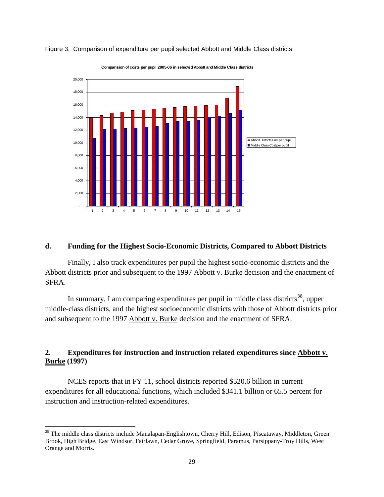

Figure 3. Comparison of expenditure per pupil selected Abbott and Middle Class districts

#### **Comparision of costs per pupil 2005-06 in selected Abbott and Middle Class districts**

#### **d. Funding for the Highest Socio-Economic Districts, Compared to Abbott Districts**

 Finally, I also track expenditures per pupil the highest socio-economic districts and the Abbott districts prior and subsequent to the 1997 Abbott v. Burke decision and the enactment of SFRA.

In summary, I am comparing expenditures per pupil in middle class districts<sup>38</sup>, upper middle-class districts, and the highest socioeconomic districts with those of Abbott districts prior and subsequent to the 1997 Abbott v. Burke decision and the enactment of SFRA.

## **2. Expenditures for instruction and instruction related expenditures since Abbott v. Burke (1997)**

NCES reports that in FY 11, school districts reported \$520.6 billion in current expenditures for all educational functions, which included \$341.1 billion or 65.5 percent for instruction and instruction-related expenditures.

<sup>&</sup>lt;sup>38</sup> The middle class districts include Manalapan-Englishtown, Cherry Hill, Edison, Piscataway, Middleton, Green Brook, High Bridge, East Windsor, Fairlawn, Cedar Grove, Springfield, Paramus, Parsippany-Troy Hills, West Orange and Morris.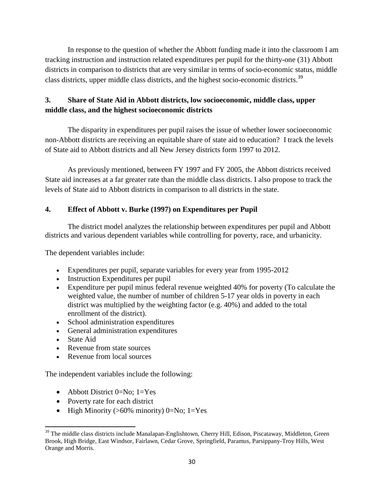In response to the question of whether the Abbott funding made it into the classroom I am tracking instruction and instruction related expenditures per pupil for the thirty-one (31) Abbott districts in comparison to districts that are very similar in terms of socio-economic status, middle class districts, upper middle class districts, and the highest socio-economic districts.<sup>39</sup>

## **3. Share of State Aid in Abbott districts, low socioeconomic, middle class, upper middle class, and the highest socioeconomic districts**

The disparity in expenditures per pupil raises the issue of whether lower socioeconomic non-Abbott districts are receiving an equitable share of state aid to education? I track the levels of State aid to Abbott districts and all New Jersey districts form 1997 to 2012.

As previously mentioned, between FY 1997 and FY 2005, the Abbott districts received State aid increases at a far greater rate than the middle class districts. I also propose to track the levels of State aid to Abbott districts in comparison to all districts in the state.

## **4. Effect of Abbott v. Burke (1997) on Expenditures per Pupil**

The district model analyzes the relationship between expenditures per pupil and Abbott districts and various dependent variables while controlling for poverty, race, and urbanicity.

The dependent variables include:

- Expenditures per pupil, separate variables for every year from 1995-2012
- Instruction Expenditures per pupil
- Expenditure per pupil minus federal revenue weighted 40% for poverty (To calculate the weighted value, the number of number of children 5-17 year olds in poverty in each district was multiplied by the weighting factor (e.g. 40%) and added to the total enrollment of the district).
- School administration expenditures
- General administration expenditures
- State Aid
- Revenue from state sources
- Revenue from local sources

The independent variables include the following:

- Abbott District 0=No; 1=Yes
- Poverty rate for each district
- High Minority  $(>60\%$  minority) 0=No; 1=Yes

 $\overline{\phantom{a}}$ <sup>39</sup> The middle class districts include Manalapan-Englishtown, Cherry Hill, Edison, Piscataway, Middleton, Green Brook, High Bridge, East Windsor, Fairlawn, Cedar Grove, Springfield, Paramus, Parsippany-Troy Hills, West Orange and Morris.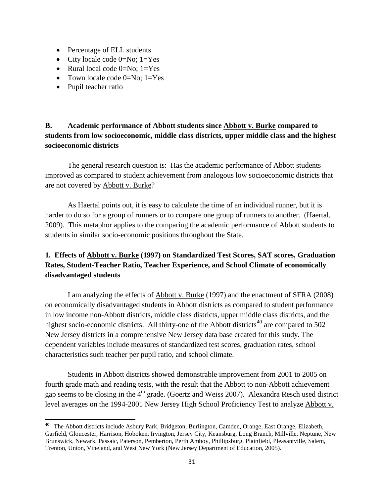- Percentage of ELL students
- City locale code  $0=No$ ;  $1=Yes$
- Rural local code  $0=N_0$ ; 1=Yes
- Town locale code  $0=No$ ;  $1=Yes$
- Pupil teacher ratio

l

## **B. Academic performance of Abbott students since Abbott v. Burke compared to students from low socioeconomic, middle class districts, upper middle class and the highest socioeconomic districts**

The general research question is: Has the academic performance of Abbott students improved as compared to student achievement from analogous low socioeconomic districts that are not covered by Abbott v. Burke?

As Haertal points out, it is easy to calculate the time of an individual runner, but it is harder to do so for a group of runners or to compare one group of runners to another. (Haertal, 2009). This metaphor applies to the comparing the academic performance of Abbott students to students in similar socio-economic positions throughout the State.

## **1. Effects of Abbott v. Burke (1997) on Standardized Test Scores, SAT scores, Graduation Rates, Student-Teacher Ratio, Teacher Experience, and School Climate of economically disadvantaged students**

I am analyzing the effects of **Abbott v. Burke** (1997) and the enactment of SFRA (2008) on economically disadvantaged students in Abbott districts as compared to student performance in low income non-Abbott districts, middle class districts, upper middle class districts, and the highest socio-economic districts. All thirty-one of the Abbott districts<sup>40</sup> are compared to 502 New Jersey districts in a comprehensive New Jersey data base created for this study. The dependent variables include measures of standardized test scores, graduation rates, school characteristics such teacher per pupil ratio, and school climate.

 Students in Abbott districts showed demonstrable improvement from 2001 to 2005 on fourth grade math and reading tests, with the result that the Abbott to non-Abbott achievement gap seems to be closing in the 4<sup>th</sup> grade. (Goertz and Weiss 2007). Alexandra Resch used district level averages on the 1994-2001 New Jersey High School Proficiency Test to analyze Abbott v.

<sup>&</sup>lt;sup>40</sup> The Abbott districts include Asbury Park, Bridgeton, Burlington, Camden, Orange, East Orange, Elizabeth, Garfield, Gloucester, Harrison, Hoboken, Irvington, Jersey City, Keansburg, Long Branch, Millville, Neptune, New Brunswick, Newark, Passaic, Paterson, Pemberton, Perth Amboy, Phillipsburg, Plainfield, Pleasantville, Salem, Trenton, Union, Vineland, and West New York (New Jersey Department of Education, 2005).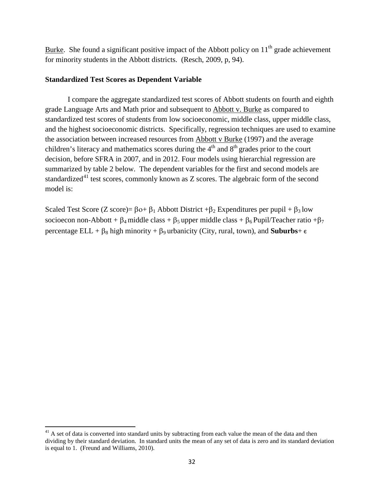Burke. She found a significant positive impact of the Abbott policy on  $11<sup>th</sup>$  grade achievement for minority students in the Abbott districts. (Resch, 2009, p, 94).

### **Standardized Test Scores as Dependent Variable**

I compare the aggregate standardized test scores of Abbott students on fourth and eighth grade Language Arts and Math prior and subsequent to Abbott v. Burke as compared to standardized test scores of students from low socioeconomic, middle class, upper middle class, and the highest socioeconomic districts. Specifically, regression techniques are used to examine the association between increased resources from Abbott v Burke (1997) and the average children's literacy and mathematics scores during the  $4<sup>th</sup>$  and  $8<sup>th</sup>$  grades prior to the court decision, before SFRA in 2007, and in 2012. Four models using hierarchial regression are summarized by table 2 below. The dependent variables for the first and second models are standardized<sup>41</sup> test scores, commonly known as  $Z$  scores. The algebraic form of the second model is:

Scaled Test Score (Z score)=  $\beta$ ο+  $\beta_1$  Abbott District + $\beta_2$  Expenditures per pupil +  $\beta_3$  low socioecon non-Abbott +  $\beta_4$  middle class +  $\beta_5$  upper middle class +  $\beta_6$  Pupil/Teacher ratio + $\beta_7$ percentage ELL +  $\beta_8$  high minority +  $\beta_9$  urbanicity (City, rural, town), and **Suburbs**+  $\epsilon$ 

**.** 

 $<sup>41</sup>$  A set of data is converted into standard units by subtracting from each value the mean of the data and then</sup> dividing by their standard deviation. In standard units the mean of any set of data is zero and its standard deviation is equal to 1. (Freund and Williams, 2010).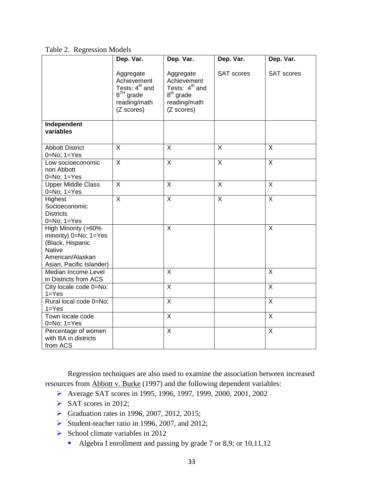Table 2. Regression Models

|                                                                                                                                            | Dep. Var.                                                                                              | Dep. Var.                                                                                           | Dep. Var.         | Dep. Var.               |
|--------------------------------------------------------------------------------------------------------------------------------------------|--------------------------------------------------------------------------------------------------------|-----------------------------------------------------------------------------------------------------|-------------------|-------------------------|
|                                                                                                                                            | Aggregate<br>Achievement<br>Tests: 4 <sup>th</sup> and<br>$8^{TH}$ grade<br>reading/math<br>(Z scores) | Aggregate<br>Achievement<br>Tests: 4 <sup>th</sup> and<br>$8th$ grade<br>reading/math<br>(Z scores) | <b>SAT scores</b> | <b>SAT scores</b>       |
| Independent<br>variables                                                                                                                   |                                                                                                        |                                                                                                     |                   |                         |
| <b>Abbott District</b><br>$0=No; 1=Yes$                                                                                                    | $\overline{\mathsf{x}}$                                                                                | $\overline{X}$                                                                                      | $\overline{X}$    | $\overline{\mathsf{x}}$ |
| Low socioeconomic<br>non Abbott<br>$0 = No$ ; $1 = Yes$                                                                                    | $\overline{X}$                                                                                         | $\overline{X}$                                                                                      | $\overline{X}$    | $\overline{X}$          |
| <b>Upper Middle Class</b><br>$0 = No; 1 = Yes$                                                                                             | $\overline{X}$                                                                                         | $\overline{X}$                                                                                      | $\overline{X}$    | $\overline{X}$          |
| Highest<br>Socioeconomic<br><b>Districts</b><br>$0 = No; 1 = Yes$                                                                          | $\overline{X}$                                                                                         | $\overline{\mathsf{x}}$                                                                             | X                 | $\mathsf{X}$            |
| High Minority (>60%<br>minority) $0 = No$ ; $1 = Yes$<br>(Black, Hispanic<br><b>Native</b><br>American/Alaskan<br>Asian, Pacific Islander) |                                                                                                        | X                                                                                                   |                   | $\sf X$                 |
| Median Income Level<br>in Districts from ACS                                                                                               |                                                                                                        | $\overline{X}$                                                                                      |                   | X                       |
| City locale code 0=No;<br>$1 = Yes$                                                                                                        |                                                                                                        | $\overline{X}$                                                                                      |                   | $\overline{\mathsf{x}}$ |
| Rural local code 0=No;<br>$1 = Yes$                                                                                                        |                                                                                                        | $\overline{\mathsf{x}}$                                                                             |                   | $\overline{\mathsf{x}}$ |
| Town locale code<br>$0=No; 1=Yes$                                                                                                          |                                                                                                        | X                                                                                                   |                   | X                       |
| Percentage of women<br>with BA in districts<br>from ACS                                                                                    |                                                                                                        | $\mathsf{X}$                                                                                        |                   | $\mathsf{X}$            |

 Regression techniques are also used to examine the association between increased resources from Abbott v. Burke (1997) and the following dependent variables:

- Average SAT scores in 1995, 1996, 1997, 1999, 2000, 2001, 2002
- $\triangleright$  SAT scores in 2012;
- Graduation rates in 1996, 2007, 2012, 2015;
- Student-teacher ratio in 1996, 2007, and 2012;
- $\triangleright$  School climate variables in 2012
	- Algebra I enrollment and passing by grade 7 or 8,9; or 10,11,12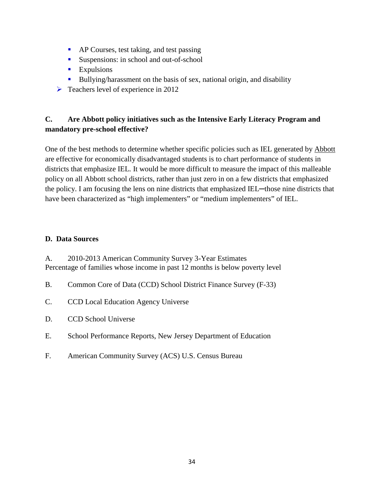- **AP Courses, test taking, and test passing**
- Suspensions: in school and out-of-school
- **Expulsions**
- Bullying/harassment on the basis of sex, national origin, and disability
- $\triangleright$  Teachers level of experience in 2012

## **C. Are Abbott policy initiatives such as the Intensive Early Literacy Program and mandatory pre-school effective?**

One of the best methods to determine whether specific policies such as IEL generated by Abbott are effective for economically disadvantaged students is to chart performance of students in districts that emphasize IEL. It would be more difficult to measure the impact of this malleable policy on all Abbott school districts, rather than just zero in on a few districts that emphasized the policy. I am focusing the lens on nine districts that emphasized IEL—those nine districts that have been characterized as "high implementers" or "medium implementers" of IEL.

## **D. Data Sources**

A. 2010-2013 American Community Survey 3-Year Estimates Percentage of families whose income in past 12 months is below poverty level

- B. Common Core of Data (CCD) School District Finance Survey (F-33)
- C. CCD Local Education Agency Universe
- D. CCD School Universe
- E. School Performance Reports, New Jersey Department of Education
- F. American Community Survey (ACS) U.S. Census Bureau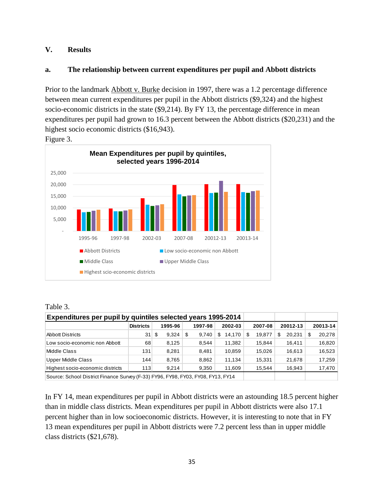### **V. Results**

### **a. The relationship between current expenditures per pupil and Abbott districts**

Prior to the landmark Abbott v. Burke decision in 1997, there was a 1.2 percentage difference between mean current expenditures per pupil in the Abbott districts (\$9,324) and the highest socio-economic districts in the state (\$9,214). By FY 13, the percentage difference in mean expenditures per pupil had grown to 16.3 percent between the Abbott districts (\$20,231) and the highest socio economic districts (\$16,943).



Figure 3.

| Expenditures per pupil by quintiles selected years 1995-2014                     |                  |             |   |         |         |        |         |        |          |        |          |        |
|----------------------------------------------------------------------------------|------------------|-------------|---|---------|---------|--------|---------|--------|----------|--------|----------|--------|
|                                                                                  | <b>Districts</b> | 1995-96     |   | 1997-98 | 2002-03 |        | 2007-08 |        | 20012-13 |        | 20013-14 |        |
| <b>Abbott Districts</b>                                                          | 31               | 9,324<br>\$ | S | 9.740   | S       | 14.170 | S       | 19.877 | S        | 20.231 | S        | 20,278 |
| Low socio-economic non Abbott                                                    | 68               | 8.125       |   | 8.544   |         | 11,382 |         | 15.844 |          | 16.411 |          | 16,820 |
| Middle Class                                                                     | 131              | 8.281       |   | 8,481   |         | 10.859 |         | 15.026 |          | 16.613 |          | 16,523 |
| <b>Upper Middle Class</b>                                                        | 144              | 8,765       |   | 8,862   |         | 11.134 |         | 15,331 |          | 21.678 |          | 17,259 |
| Highest socio-economic districts                                                 | 113              | 9.214       |   | 9.350   |         | 11,609 |         | 15.544 |          | 16,943 |          | 17,470 |
| Source: School District Finance Survey (F-33) FY96, FY98, FY03, FY08, FY13, FY14 |                  |             |   |         |         |        |         |        |          |        |          |        |

In FY 14, mean expenditures per pupil in Abbott districts were an astounding 18.5 percent higher than in middle class districts. Mean expenditures per pupil in Abbott districts were also 17.1 percent higher than in low socioeconomic districts. However, it is interesting to note that in FY 13 mean expenditures per pupil in Abbott districts were 7.2 percent less than in upper middle class districts (\$21,678).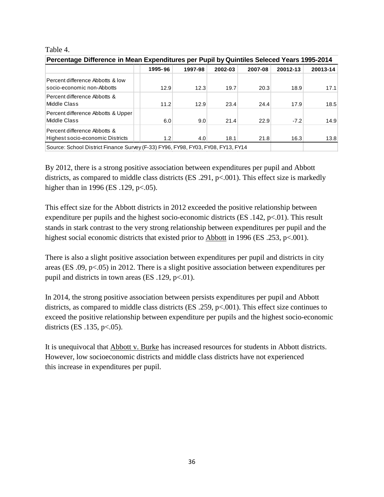#### Table 4.

| Percentage Difference in Mean Expenditures per Pupil by Quintiles Seleced Years 1995-2014 |         |         |         |         |          |          |  |  |  |  |
|-------------------------------------------------------------------------------------------|---------|---------|---------|---------|----------|----------|--|--|--|--|
|                                                                                           | 1995-96 | 1997-98 | 2002-03 | 2007-08 | 20012-13 | 20013-14 |  |  |  |  |
| Percent difference Abbotts & low<br>socio-economic non-Abbotts                            | 12.9    | 12.3    | 19.7    | 20.3    | 18.9     | 17.1     |  |  |  |  |
| Percent difference Abbotts &<br>Middle Class                                              | 11.2    | 12.9    | 23.4    | 24.4    | 17.9     | 18.5     |  |  |  |  |
| Percent difference Abbotts & Upper<br>Middle Class                                        | 6.0     | 9.0     | 21.4    | 22.9    | $-7.2$   | 14.9     |  |  |  |  |
| Percent difference Abbotts &<br>Highest socio-economic Districts                          | 1.2     | 4.0     | 18.1    | 21.8    | 16.3     | 13.8     |  |  |  |  |
| Source: School District Finance Survey (F-33) FY96, FY98, FY03, FY08, FY13, FY14          |         |         |         |         |          |          |  |  |  |  |

By 2012, there is a strong positive association between expenditures per pupil and Abbott districts, as compared to middle class districts (ES .291, p<.001). This effect size is markedly higher than in 1996 (ES .129, p<.05).

This effect size for the Abbott districts in 2012 exceeded the positive relationship between expenditure per pupils and the highest socio-economic districts (ES  $.142$ , p $< .01$ ). This result stands in stark contrast to the very strong relationship between expenditures per pupil and the highest social economic districts that existed prior to Abbott in 1996 (ES .253, p<.001).

There is also a slight positive association between expenditures per pupil and districts in city areas (ES .09, p<.05) in 2012. There is a slight positive association between expenditures per pupil and districts in town areas (ES  $.129$ , p<.01).

In 2014, the strong positive association between persists expenditures per pupil and Abbott districts, as compared to middle class districts (ES .259, p<.001). This effect size continues to exceed the positive relationship between expenditure per pupils and the highest socio-economic districts (ES .135, p<.05).

It is unequivocal that Abbott v. Burke has increased resources for students in Abbott districts. However, low socioeconomic districts and middle class districts have not experienced this increase in expenditures per pupil.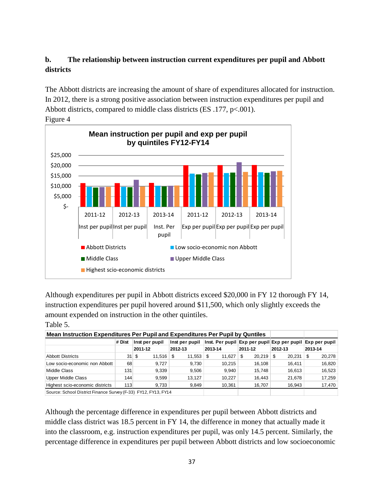## **b. The relationship between instruction current expenditures per pupil and Abbott districts**

The Abbott districts are increasing the amount of share of expenditures allocated for instruction. In 2012, there is a strong positive association between instruction expenditures per pupil and Abbott districts, compared to middle class districts (ES .177, p<.001).



Figure 4

Table 5.

Although expenditures per pupil in Abbott districts exceed \$20,000 in FY 12 thorough FY 14, instruction expenditures per pupil hovered around \$11,500, which only slightly exceeds the amount expended on instruction in the other quintiles.

|                                                              | Mean Instruction Expenditures Per Pupil and Expenditures Per Pupil by Quntiles |                               |                |                                                           |               |             |                |  |  |  |  |  |  |
|--------------------------------------------------------------|--------------------------------------------------------------------------------|-------------------------------|----------------|-----------------------------------------------------------|---------------|-------------|----------------|--|--|--|--|--|--|
|                                                              | # Dist                                                                         | Inst per pupil                | Inst per pupil | Inst. Per pupil Exp per pupil Exp per pupil Exp per pupil |               |             |                |  |  |  |  |  |  |
|                                                              |                                                                                | 2011-12                       | 2012-13        | 2013-14                                                   | 2011-12       | 2012-13     | 2013-14        |  |  |  |  |  |  |
| <b>Abbott Districts</b>                                      |                                                                                | $31 \text{ s}$<br>$11,516$ \$ | $11,553$ \$    | 11,627                                                    | 20,219<br>∣\$ | 20,231<br>S | 20,278<br>- \$ |  |  |  |  |  |  |
| Low socio-economic non Abbott                                | 68                                                                             | 9.727                         | 9.730          | 10.215                                                    | 16.108        | 16.411      | 16,820         |  |  |  |  |  |  |
| Middle Class                                                 | 131                                                                            | 9,339                         | 9.506          | 9.940                                                     | 15.748        | 16.613      | 16,523         |  |  |  |  |  |  |
| Upper Middle Class                                           | 144                                                                            | 9,599                         | 13.127         | 10.227                                                    | 16.443        | 21,678      | 17,259         |  |  |  |  |  |  |
| Highest scio-economic districts                              | 113                                                                            | 9,733                         | 9.849          | 10,361                                                    | 16,707        | 16.943      | 17,470         |  |  |  |  |  |  |
| Source: School District Einance Survey (E 22) EV12 EV12 EV14 |                                                                                |                               |                |                                                           |               |             |                |  |  |  |  |  |  |

Source: School District Finance Survey (F-33) FY12, FY13, FY14

Although the percentage difference in expenditures per pupil between Abbott districts and middle class district was 18.5 percent in FY 14, the difference in money that actually made it into the classroom, e.g. instruction expenditures per pupil, was only 14.5 percent. Similarly, the percentage difference in expenditures per pupil between Abbott districts and low socioeconomic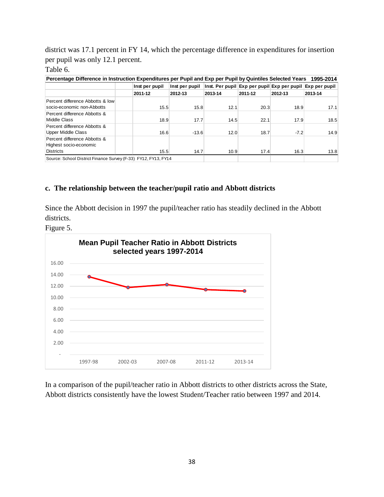district was 17.1 percent in FY 14, which the percentage difference in expenditures for insertion per pupil was only 12.1 percent.

## Table 6.

| Percentage Difference in Instruction Expenditures per Pupil and Exp per Pupil by Quintiles Selected Years 1995-2014 |                                                                                                                                    |                |                                                           |         |         |         |  |  |  |  |  |
|---------------------------------------------------------------------------------------------------------------------|------------------------------------------------------------------------------------------------------------------------------------|----------------|-----------------------------------------------------------|---------|---------|---------|--|--|--|--|--|
|                                                                                                                     | Inst per pupil                                                                                                                     | Inst per pupil | Inst. Per pupil Exp per pupil Exp per pupil Exp per pupil |         |         |         |  |  |  |  |  |
|                                                                                                                     | 2011-12                                                                                                                            | 2012-13        | 2013-14                                                   | 2011-12 | 2012-13 | 2013-14 |  |  |  |  |  |
| Percent difference Abbotts & low<br>socio-economic non-Abbotts                                                      | 15.5                                                                                                                               | 15.8           | 12.1                                                      | 20.3    | 18.9    | 17.1    |  |  |  |  |  |
| Percent difference Abbotts &<br>Middle Class                                                                        | 18.9                                                                                                                               | 17.7           | 14.5                                                      | 22.1    | 17.9    | 18.5    |  |  |  |  |  |
| Percent difference Abbotts &<br>Upper Middle Class                                                                  | 16.6                                                                                                                               | $-13.6$        | 12.0                                                      | 18.7    | $-7.2$  | 14.9    |  |  |  |  |  |
| Percent difference Abbotts &<br>Highest socio-economic                                                              |                                                                                                                                    |                |                                                           |         |         |         |  |  |  |  |  |
|                                                                                                                     | <b>Districts</b><br>14.7<br>10.9<br>17.4<br>16.3<br>13.8<br>15.5<br>Source: School District Finance Survey (F-33) FY12, FY13, FY14 |                |                                                           |         |         |         |  |  |  |  |  |

### **c. The relationship between the teacher/pupil ratio and Abbott districts**

Since the Abbott decision in 1997 the pupil/teacher ratio has steadily declined in the Abbott districts.

Figure 5.



In a comparison of the pupil/teacher ratio in Abbott districts to other districts across the State, Abbott districts consistently have the lowest Student/Teacher ratio between 1997 and 2014.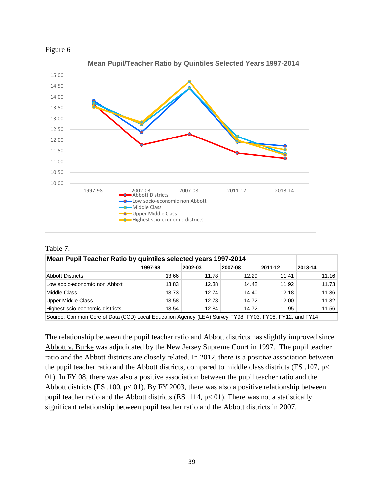



#### Table 7.

| Mean Pupil Teacher Ratio by quintiles selected years 1997-2014 |         |         |         |         |         |
|----------------------------------------------------------------|---------|---------|---------|---------|---------|
|                                                                | 1997-98 | 2002-03 | 2007-08 | 2011-12 | 2013-14 |
| <b>Abbott Districts</b>                                        | 13.66   | 11.78   | 12.29   | 11.41   | 11.16   |
| Low socio-economic non Abbott                                  | 13.83   | 12.38   | 14.42   | 11.92   | 11.73   |
| Middle Class                                                   | 13.73   | 12.74   | 14.40   | 12.18   | 11.36   |
| Upper Middle Class                                             | 13.58   | 12.78   | 14.72   | 12.00   | 11.32   |
| Highest scio-economic districts                                | 13.54   | 12.84   | 14.72   | 11.95   | 11.56   |

Source: Common Core of Data (CCD) Local Education Agency (LEA) Survey FY98, FY03, FY08, FY12, and FY14

The relationship between the pupil teacher ratio and Abbott districts has slightly improved since Abbott v. Burke was adjudicated by the New Jersey Supreme Court in 1997. The pupil teacher ratio and the Abbott districts are closely related. In 2012, there is a positive association between the pupil teacher ratio and the Abbott districts, compared to middle class districts (ES .107, p< 01). In FY 08, there was also a positive association between the pupil teacher ratio and the Abbott districts (ES .100, p< 01). By FY 2003, there was also a positive relationship between pupil teacher ratio and the Abbott districts (ES .114,  $p < 01$ ). There was not a statistically significant relationship between pupil teacher ratio and the Abbott districts in 2007.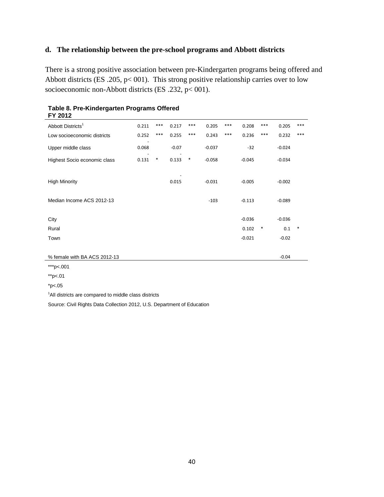## **d. The relationship between the pre-school programs and Abbott districts**

There is a strong positive association between pre-Kindergarten programs being offered and Abbott districts (ES .205, p< 001). This strong positive relationship carries over to low socioeconomic non-Abbott districts (ES .232, p< 001).

| I I ŁUIŁ                      |       |        |         |        |          |       |          |        |          |        |
|-------------------------------|-------|--------|---------|--------|----------|-------|----------|--------|----------|--------|
| Abbott Districts <sup>1</sup> | 0.211 | $***$  | 0.217   | $***$  | 0.205    | ***   | 0.208    | ***    | 0.205    | ***    |
| Low socioeconomic districts   | 0.252 | $***$  | 0.255   | $***$  | 0.243    | $***$ | 0.236    | $***$  | 0.232    | $***$  |
| Upper middle class            | 0.068 |        | $-0.07$ |        | $-0.037$ |       | $-32$    |        | $-0.024$ |        |
| Highest Socio economic class  | 0.131 | $\ast$ | 0.133   | $\ast$ | $-0.058$ |       | $-0.045$ |        | $-0.034$ |        |
|                               |       |        |         |        |          |       |          |        |          |        |
| <b>High Minority</b>          |       |        | 0.015   |        | $-0.031$ |       | $-0.005$ |        | $-0.002$ |        |
| Median Income ACS 2012-13     |       |        |         |        |          |       |          |        | $-0.089$ |        |
|                               |       |        |         |        | $-103$   |       | $-0.113$ |        |          |        |
| City                          |       |        |         |        |          |       | $-0.036$ |        | $-0.036$ |        |
| Rural                         |       |        |         |        |          |       | 0.102    | $\ast$ | 0.1      | $\ast$ |
| Town                          |       |        |         |        |          |       | $-0.021$ |        | $-0.02$  |        |
|                               |       |        |         |        |          |       |          |        |          |        |
| % female with BA ACS 2012-13  |       |        |         |        |          |       |          |        | $-0.04$  |        |
|                               |       |        |         |        |          |       |          |        |          |        |

**Table 8. Pre-Kindergarten Programs Offered FY 2012**

\*\*\*p<.001

\*\*p<.01

\*p<.05

<sup>1</sup>All districts are compared to middle class districts

Source: Civil Rights Data Collection 2012, U.S. Department of Education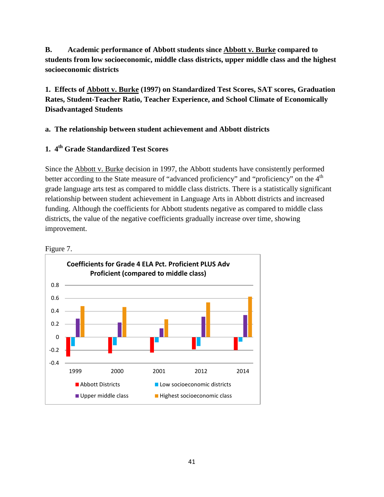**B. Academic performance of Abbott students since Abbott v. Burke compared to students from low socioeconomic, middle class districts, upper middle class and the highest socioeconomic districts**

**1. Effects of Abbott v. Burke (1997) on Standardized Test Scores, SAT scores, Graduation Rates, Student-Teacher Ratio, Teacher Experience, and School Climate of Economically Disadvantaged Students**

## **a. The relationship between student achievement and Abbott districts**

## **1. 4th Grade Standardized Test Scores**

Since the Abbott v. Burke decision in 1997, the Abbott students have consistently performed better according to the State measure of "advanced proficiency" and "proficiency" on the 4<sup>th</sup> grade language arts test as compared to middle class districts. There is a statistically significant relationship between student achievement in Language Arts in Abbott districts and increased funding. Although the coefficients for Abbott students negative as compared to middle class districts, the value of the negative coefficients gradually increase over time, showing improvement.



Figure 7.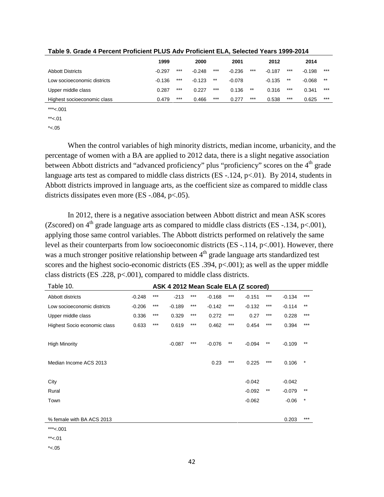|                             | 1999     |       | 2000     |       | 2001     |       |          | 2012  |          |       |
|-----------------------------|----------|-------|----------|-------|----------|-------|----------|-------|----------|-------|
| <b>Abbott Districts</b>     | $-0.297$ | $***$ | $-0.248$ | $***$ | $-0.236$ | $***$ | $-0.187$ | ***   | $-0.198$ | $***$ |
| Low socioeconomic districts | $-0.136$ | ***   | $-0.123$ | $***$ | $-0.078$ |       | $-0.135$ | $***$ | $-0.068$ | $***$ |
| Upper middle class          | 0.287    | ***   | 0.227    | $***$ | 0.136    | $***$ | 0.316    | ***   | 0.341    | $***$ |
| Highest socioeconomic class | 0.479    | $***$ | 0.466    | $***$ | 0.277    | ***   | 0.538    | $***$ | 0.625    | $***$ |

**Table 9. Grade 4 Percent Proficient PLUS Adv Proficient ELA, Selected Years 1999-2014** 

\*\*\*<.001

 $*<.01$ 

 $*< .05$ 

When the control variables of high minority districts, median income, urbanicity, and the percentage of women with a BA are applied to 2012 data, there is a slight negative association between Abbott districts and "advanced proficiency" plus "proficiency" scores on the 4<sup>th</sup> grade language arts test as compared to middle class districts (ES -.124, p<.01). By 2014, students in Abbott districts improved in language arts, as the coefficient size as compared to middle class districts dissipates even more (ES -.084, p<.05).

 In 2012, there is a negative association between Abbott district and mean ASK scores (Zscored) on  $4<sup>th</sup>$  grade language arts as compared to middle class districts (ES -.134, p<.001), applying those same control variables. The Abbott districts performed on relatively the same level as their counterparts from low socioeconomic districts (ES -.114, p<.001). However, there was a much stronger positive relationship between  $4<sup>th</sup>$  grade language arts standardized test scores and the highest socio-economic districts (ES .394, p<.001); as well as the upper middle class districts (ES .228, p<.001), compared to middle class districts.

| Table 10.<br>ASK 4 2012 Mean Scale ELA (Z scored) |          |       |          |       |          |       |          |       |          |       |  |
|---------------------------------------------------|----------|-------|----------|-------|----------|-------|----------|-------|----------|-------|--|
| Abbott districts                                  | $-0.248$ | ***   | $-213$   | ***   | $-0.168$ | ***   | $-0.151$ | ***   | $-0.134$ | $***$ |  |
| Low socioeconomic districts                       | $-0.206$ | $***$ | $-0.189$ | $***$ | $-0.142$ | $***$ | $-0.132$ | $***$ | $-0.114$ | $***$ |  |
| Upper middle class                                | 0.336    | $***$ | 0.329    | $***$ | 0.272    | $***$ | 0.27     | $***$ | 0.228    | $***$ |  |
| Highest Socio economic class                      | 0.633    | $***$ | 0.619    | $***$ | 0.462    | $***$ | 0.454    | $***$ | 0.394    | $***$ |  |
| <b>High Minority</b>                              |          |       | $-0.087$ | ***   | $-0.076$ | $***$ | $-0.094$ | $***$ | $-0.109$ | $***$ |  |
| Median Income ACS 2013                            |          |       |          |       | 0.23     | ***   | 0.225    | ***   | 0.106    | *     |  |
|                                                   |          |       |          |       |          |       |          |       |          |       |  |
| City                                              |          |       |          |       |          |       | $-0.042$ |       | $-0.042$ |       |  |
| Rural                                             |          |       |          |       |          |       | $-0.092$ | $***$ | $-0.079$ | $***$ |  |
| Town                                              |          |       |          |       |          |       | $-0.062$ |       | $-0.06$  | *     |  |
|                                                   |          |       |          |       |          |       |          |       |          |       |  |
| % female with BA ACS 2013                         |          |       |          |       |          |       |          |       | 0.203    | $***$ |  |
| ***<.001                                          |          |       |          |       |          |       |          |       |          |       |  |
|                                                   |          |       |          |       |          |       |          |       |          |       |  |

\*\*<.01

 $*<.05$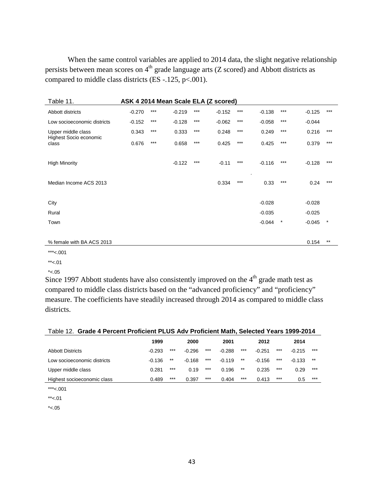When the same control variables are applied to 2014 data, the slight negative relationship persists between mean scores on  $4<sup>th</sup>$  grade language arts (Z scored) and Abbott districts as compared to middle class districts (ES -.125, p <.001).

| Table 11.                                    | ASK 4 2014 Mean Scale ELA (Z scored) |       |          |       |          |       |          |        |          |         |  |  |  |  |  |
|----------------------------------------------|--------------------------------------|-------|----------|-------|----------|-------|----------|--------|----------|---------|--|--|--|--|--|
| Abbott districts                             | $-0.270$                             | $***$ | $-0.219$ | $***$ | $-0.152$ | ***   | $-0.138$ | ***    | $-0.125$ | $***$   |  |  |  |  |  |
| Low socioeconomic districts                  | $-0.152$                             | $***$ | $-0.128$ | $***$ | $-0.062$ | $***$ | $-0.058$ | ***    | $-0.044$ |         |  |  |  |  |  |
| Upper middle class<br>Highest Socio economic | 0.343                                | $***$ | 0.333    | $***$ | 0.248    | ***   | 0.249    | $***$  | 0.216    | $***$   |  |  |  |  |  |
| class                                        | 0.676                                | $***$ | 0.658    | $***$ | 0.425    | ***   | 0.425    | $***$  | 0.379    | $***$   |  |  |  |  |  |
|                                              |                                      |       |          |       |          |       |          |        |          |         |  |  |  |  |  |
| <b>High Minority</b>                         |                                      |       | $-0.122$ | ***   | $-0.11$  | ***   | $-0.116$ | ***    | $-0.128$ | $***$   |  |  |  |  |  |
|                                              |                                      |       |          |       |          |       | ٠.       |        |          |         |  |  |  |  |  |
| Median Income ACS 2013                       |                                      |       |          |       | 0.334    | ***   | 0.33     | ***    | 0.24     | $***$   |  |  |  |  |  |
|                                              |                                      |       |          |       |          |       |          |        |          |         |  |  |  |  |  |
| City                                         |                                      |       |          |       |          |       | $-0.028$ |        | $-0.028$ |         |  |  |  |  |  |
| Rural                                        |                                      |       |          |       |          |       | $-0.035$ |        | $-0.025$ |         |  |  |  |  |  |
| Town                                         |                                      |       |          |       |          |       | $-0.044$ | $\ast$ | $-0.045$ | $\star$ |  |  |  |  |  |
|                                              |                                      |       |          |       |          |       |          |        |          |         |  |  |  |  |  |
| % female with BA ACS 2013                    |                                      |       |          |       |          |       |          |        | 0.154    | $***$   |  |  |  |  |  |

\*\*\*<.001

 $***<.01$ 

 $*< 0.05$ 

Since 1997 Abbott students have also consistently improved on the  $4<sup>th</sup>$  grade math test as compared to middle class districts based on the "advanced proficiency" and "proficiency" measure. The coefficients have steadily increased through 2014 as compared to middle class districts.

| Table 12. Grade 4 Percent Proficient PLUS Adv Proficient Math, Selected Years 1999-2014 |          |       |          |       |          |       |          |       |          |       |  |  |  |  |
|-----------------------------------------------------------------------------------------|----------|-------|----------|-------|----------|-------|----------|-------|----------|-------|--|--|--|--|
|                                                                                         | 1999     |       | 2000     |       | 2001     |       | 2012     |       | 2014     |       |  |  |  |  |
| <b>Abbott Districts</b>                                                                 | $-0.293$ | $***$ | $-0.296$ | $***$ | $-0.288$ | $***$ | $-0.251$ | $***$ | $-0.215$ | $***$ |  |  |  |  |
| Low socioeconomic districts                                                             | $-0.136$ | $***$ | $-0.168$ | ***   | $-0.119$ | $***$ | $-0.156$ | $***$ | $-0.133$ | $***$ |  |  |  |  |
| Upper middle class                                                                      | 0.281    | $***$ | 0.19     | $***$ | 0.196    | $***$ | 0.235    | $***$ | 0.29     | $***$ |  |  |  |  |
| Highest socioeconomic class                                                             | 0.489    | $***$ | 0.397    | $***$ | 0.404    | $***$ | 0.413    | $***$ | 0.5      | ***   |  |  |  |  |
|                                                                                         |          |       |          |       |          |       |          |       |          |       |  |  |  |  |

\*\*\*<.001

 $*<.01$ 

 $*<.05$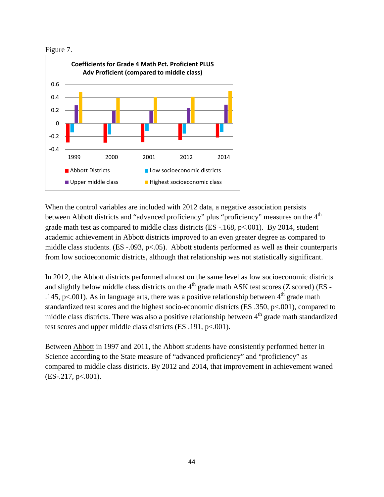



When the control variables are included with 2012 data, a negative association persists between Abbott districts and "advanced proficiency" plus "proficiency" measures on the 4<sup>th</sup> grade math test as compared to middle class districts (ES -.168, p<.001). By 2014, student academic achievement in Abbott districts improved to an even greater degree as compared to middle class students. (ES -.093, p<.05). Abbott students performed as well as their counterparts from low socioeconomic districts, although that relationship was not statistically significant.

In 2012, the Abbott districts performed almost on the same level as low socioeconomic districts and slightly below middle class districts on the  $4<sup>th</sup>$  grade math ASK test scores (Z scored) (ES -.145, p<.001). As in language arts, there was a positive relationship between  $4<sup>th</sup>$  grade math standardized test scores and the highest socio-economic districts (ES .350, p<.001), compared to middle class districts. There was also a positive relationship between  $4<sup>th</sup>$  grade math standardized test scores and upper middle class districts (ES .191, p<.001).

Between Abbott in 1997 and 2011, the Abbott students have consistently performed better in Science according to the State measure of "advanced proficiency" and "proficiency" as compared to middle class districts. By 2012 and 2014, that improvement in achievement waned  $(ES-.217, p<.001).$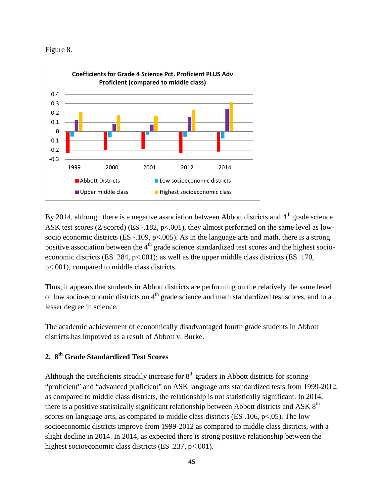Figure 8.



By 2014, although there is a negative association between Abbott districts and  $4<sup>th</sup>$  grade science ASK test scores (Z scored) (ES -.182, p<.001), they almost performed on the same level as lowsocio economic districts (ES -.109, p<.005). As in the language arts and math, there is a strong positive association between the 4<sup>th</sup> grade science standardized test scores and the highest socioeconomic districts (ES  $.284$ , p<.001); as well as the upper middle class districts (ES  $.170$ , p<.001), compared to middle class districts.

Thus, it appears that students in Abbott districts are performing on the relatively the same level of low socio-economic districts on 4<sup>th</sup> grade science and math standardized test scores, and to a lesser degree in science.

The academic achievement of economically disadvantaged fourth grade students in Abbott districts has improved as a result of Abbott v. Burke.

## **2. 8th Grade Standardized Test Scores**

Although the coefficients steadily increase for  $8<sup>th</sup>$  graders in Abbott districts for scoring "proficient" and "advanced proficient" on ASK language arts standardized tests from 1999-2012, as compared to middle class districts, the relationship is not statistically significant. In 2014, there is a positive statistically significant relationship between Abbott districts and ASK 8<sup>th</sup> scores on language arts, as compared to middle class districts (ES .106, p<.05). The low socioeconomic districts improve from 1999-2012 as compared to middle class districts, with a slight decline in 2014. In 2014, as expected there is strong positive relationship between the highest socioeconomic class districts (ES .237, p<.001).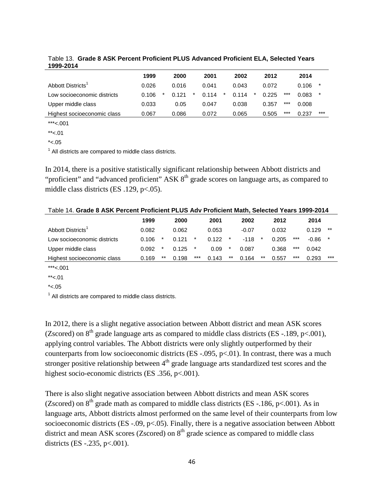|                             | 1999  | 2000  |   | 2001  |   | 2002  |        | 2012  |       | 2014  |         |
|-----------------------------|-------|-------|---|-------|---|-------|--------|-------|-------|-------|---------|
| Abbott Districts'           | 0.026 | 0.016 |   | 0.041 |   | 0.043 |        | 0.072 |       | 0.106 | $\star$ |
| Low socioeconomic districts | 0.106 | 0.121 | * | 0.114 | * | 0.114 | $\ast$ | 0.225 | $***$ | 0.083 | $\star$ |
| Upper middle class          | 0.033 | 0.05  |   | 0.047 |   | 0.038 |        | 0.357 | ***   | 0.008 |         |
| Highest socioeconomic class | 0.067 | 0.086 |   | 0.072 |   | 0.065 |        | 0.505 | $***$ | 0.237 | $***$   |

Table 13. **Grade 8 ASK Percent Proficient PLUS Advanced Proficient ELA, Selected Years 1999-2014** 

\*\*\*<.001  $*<.01$ 

 $*<.05$ 

 $<sup>1</sup>$  All districts are compared to middle class districts.</sup>

In 2014, there is a positive statistically significant relationship between Abbott districts and "proficient" and "advanced proficient" ASK 8<sup>th</sup> grade scores on language arts, as compared to middle class districts (ES .129, p<.05).

|                             | 1999  |        | 2000  |         | 2001  |         | 2002    |    | 2012  |       | 2014  |       |
|-----------------------------|-------|--------|-------|---------|-------|---------|---------|----|-------|-------|-------|-------|
| Abbott Districts'           | 0.082 |        | 0.062 |         | 0.053 |         | $-0.07$ |    | 0.032 |       | 0.129 | **    |
| Low socioeconomic districts | 0.106 |        | 0.121 | $\ast$  | 0.122 | $\star$ | $-118$  | *  | 0.205 | $***$ | -0.86 |       |
| Upper middle class          | 0.092 | $\ast$ | 0.125 | $^\ast$ | 0.09  | $\ast$  | 0.087   |    | 0.368 | $***$ | 0.042 |       |
| Highest socioeconomic class | 0.169 | $***$  | 0.198 | ***     | 0.143 | **      | 0.164   | ** | 0.557 | $***$ | 0.293 | $***$ |

 $***<.001$ 

 $*< .05$ 

 $<sup>1</sup>$  All districts are compared to middle class districts.</sup>

In 2012, there is a slight negative association between Abbott district and mean ASK scores (Zscored) on  $8<sup>th</sup>$  grade language arts as compared to middle class districts (ES -.189, p<.001), applying control variables. The Abbott districts were only slightly outperformed by their counterparts from low socioeconomic districts (ES -.095,  $p<.01$ ). In contrast, there was a much stronger positive relationship between  $4<sup>th</sup>$  grade language arts standardized test scores and the highest socio-economic districts (ES .356, p<.001).

There is also slight negative association between Abbott districts and mean ASK scores (Zscored) on  $8<sup>th</sup>$  grade math as compared to middle class districts (ES -.186, p<.001). As in language arts, Abbott districts almost performed on the same level of their counterparts from low socioeconomic districts (ES -.09, p<.05). Finally, there is a negative association between Abbott district and mean ASK scores (Zscored) on  $8<sup>th</sup>$  grade science as compared to middle class districts (ES -.235, p<.001).

 $*$  <.01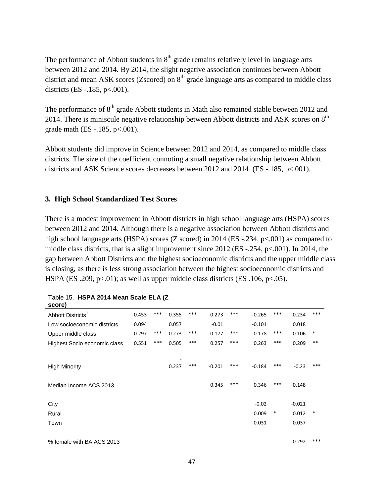The performance of Abbott students in  $8<sup>th</sup>$  grade remains relatively level in language arts between 2012 and 2014. By 2014, the slight negative association continues between Abbott district and mean ASK scores (Zscored) on  $8<sup>th</sup>$  grade language arts as compared to middle class districts (ES -.185, p<.001).

The performance of  $8<sup>th</sup>$  grade Abbott students in Math also remained stable between 2012 and 2014. There is miniscule negative relationship between Abbott districts and ASK scores on  $8<sup>th</sup>$ grade math (ES -.185, p<.001).

Abbott students did improve in Science between 2012 and 2014, as compared to middle class districts. The size of the coefficient connoting a small negative relationship between Abbott districts and ASK Science scores decreases between 2012 and 2014 (ES -.185, p<.001).

### **3. High School Standardized Test Scores**

There is a modest improvement in Abbott districts in high school language arts (HSPA) scores between 2012 and 2014. Although there is a negative association between Abbott districts and high school language arts (HSPA) scores (Z scored) in 2014 (ES -.234, p<.001) as compared to middle class districts, that is a slight improvement since 2012 (ES -.254, p<.001). In 2014, the gap between Abbott Districts and the highest socioeconomic districts and the upper middle class is closing, as there is less strong association between the highest socioeconomic districts and HSPA (ES .209, p<.01); as well as upper middle class districts (ES .106, p<.05).

| score)                        |       |     |       |     |          |     |          |        |          |        |
|-------------------------------|-------|-----|-------|-----|----------|-----|----------|--------|----------|--------|
| Abbott Districts <sup>1</sup> | 0.453 | *** | 0.355 | *** | $-0.273$ | *** | $-0.265$ | ***    | $-0.234$ | ***    |
| Low socioeconomic districts   | 0.094 |     | 0.057 |     | $-0.01$  |     | $-0.101$ |        | 0.018    |        |
| Upper middle class            | 0.297 | *** | 0.273 | *** | 0.177    | *** | 0.178    | ***    | 0.106    | $\ast$ |
| Highest Socio economic class  | 0.551 | *** | 0.505 | *** | 0.257    | *** | 0.263    | ***    | 0.209    | $***$  |
|                               |       |     |       |     |          |     |          |        |          |        |
| <b>High Minority</b>          |       |     | 0.237 | *** | $-0.201$ | *** | $-0.184$ | ***    | $-0.23$  | ***    |
| Median Income ACS 2013        |       |     |       |     | 0.345    | *** | 0.346    | ***    | 0.148    |        |
| City                          |       |     |       |     |          |     | $-0.02$  |        | $-0.021$ |        |
| Rural                         |       |     |       |     |          |     | 0.009    | $\ast$ | 0.012    | *      |
| Town                          |       |     |       |     |          |     | 0.031    |        | 0.037    |        |
|                               |       |     |       |     |          |     |          |        |          |        |
| % female with BA ACS 2013     |       |     |       |     |          |     |          |        | 0.292    | ***    |
|                               |       |     |       |     |          |     |          |        |          |        |

|        | Table 15. HSPA 2014 Mean Scale ELA (Z |  |
|--------|---------------------------------------|--|
| score) |                                       |  |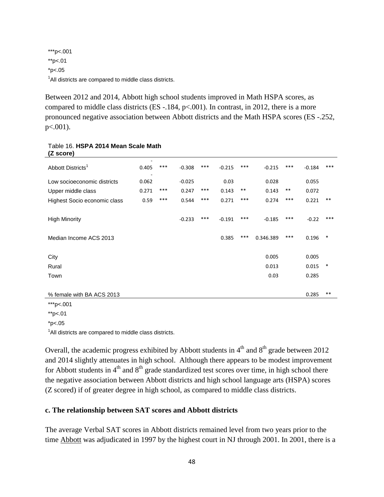\*\*\*p<.001 \*\*p<.01  $*p<.05$ <sup>1</sup>All districts are compared to middle class districts.

Between 2012 and 2014, Abbott high school students improved in Math HSPA scores, as compared to middle class districts  $(ES - 0.184, p < 0.001)$ . In contrast, in 2012, there is a more pronounced negative association between Abbott districts and the Math HSPA scores (ES -.252,  $p<.001$ ).

| וטיסט בי                      |       |     |          |       |          |       |           |       |          |        |
|-------------------------------|-------|-----|----------|-------|----------|-------|-----------|-------|----------|--------|
| Abbott Districts <sup>1</sup> | 0.405 | *** | $-0.308$ | $***$ | $-0.215$ | $***$ | $-0.215$  | ***   | $-0.184$ | ***    |
| Low socioeconomic districts   | 0.062 |     | $-0.025$ |       | 0.03     |       | 0.028     |       | 0.055    |        |
| Upper middle class            | 0.271 | *** | 0.247    | ***   | 0.143    | $***$ | 0.143     | $***$ | 0.072    |        |
| Highest Socio economic class  | 0.59  | *** | 0.544    | $***$ | 0.271    | $***$ | 0.274     | $***$ | 0.221    | $***$  |
|                               |       |     |          |       |          |       |           |       |          |        |
| <b>High Minority</b>          |       |     | $-0.233$ | ***   | $-0.191$ | ***   | $-0.185$  | ***   | $-0.22$  | $***$  |
|                               |       |     |          |       |          |       |           |       |          |        |
| Median Income ACS 2013        |       |     |          |       | 0.385    | ***   | 0.346.389 | ***   | 0.196    | $\ast$ |
|                               |       |     |          |       |          |       |           |       |          |        |
| City                          |       |     |          |       |          |       | 0.005     |       | 0.005    |        |
| Rural                         |       |     |          |       |          |       | 0.013     |       | 0.015    | *      |
| Town                          |       |     |          |       |          |       | 0.03      |       | 0.285    |        |
|                               |       |     |          |       |          |       |           |       |          |        |
| % female with BA ACS 2013     |       |     |          |       |          |       |           |       | 0.285    | $***$  |
| ***p<.001                     |       |     |          |       |          |       |           |       |          |        |
|                               |       |     |          |       |          |       |           |       |          |        |

#### Table 16. **HSPA 2014 Mean Scale Math (Z score)**

\*\*p<.01

 $*p<.05$ 

<sup>1</sup>All districts are compared to middle class districts.

Overall, the academic progress exhibited by Abbott students in  $4<sup>th</sup>$  and  $8<sup>th</sup>$  grade between 2012 and 2014 slightly attenuates in high school. Although there appears to be modest improvement for Abbott students in  $4<sup>th</sup>$  and  $8<sup>th</sup>$  grade standardized test scores over time, in high school there the negative association between Abbott districts and high school language arts (HSPA) scores (Z scored) if of greater degree in high school, as compared to middle class districts.

### **c. The relationship between SAT scores and Abbott districts**

The average Verbal SAT scores in Abbott districts remained level from two years prior to the time Abbott was adjudicated in 1997 by the highest court in NJ through 2001. In 2001, there is a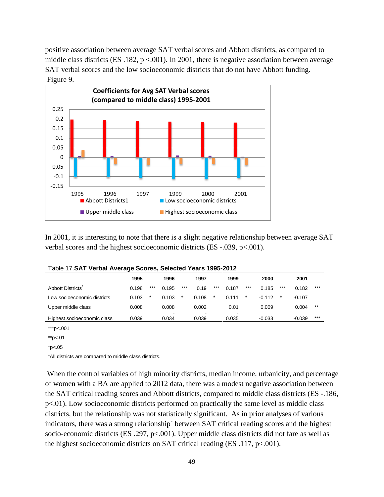positive association between average SAT verbal scores and Abbott districts, as compared to middle class districts (ES .182,  $p < .001$ ). In 2001, there is negative association between average SAT verbal scores and the low socioeconomic districts that do not have Abbott funding. Figure 9.



In 2001, it is interesting to note that there is a slight negative relationship between average SAT verbal scores and the highest socioeconomic districts (ES -.039, p<.001).

|                               | 1995  |        | 1996                    |        | 1997       |         | 1999                              |        | 2000     |         | 2001     |       |
|-------------------------------|-------|--------|-------------------------|--------|------------|---------|-----------------------------------|--------|----------|---------|----------|-------|
| Abbott Districts <sup>1</sup> | 0.198 | ***    | 0.195                   | $***$  | 0.19       | $***$   | 0.187                             | $***$  | 0.185    | $***$   | 0.182    | $***$ |
| Low socioeconomic districts   | 0.103 | $\ast$ | 0.103                   | $\ast$ | 0.108      | $\star$ | 0.111                             | $\ast$ | $-0.112$ | $\star$ | $-0.107$ |       |
| Upper middle class            | 0.008 |        | 0.008                   |        | 0.002      |         | 0.01                              |        | 0.009    |         | 0.004    | $***$ |
| Highest socioeconomic class   | 0.039 |        | $\blacksquare$<br>0.034 |        | -<br>0.039 |         | $\overline{\phantom{a}}$<br>0.035 |        | $-0.033$ |         | $-0.039$ | $***$ |

| Table 17. SAT Verbal Average Scores, Selected Years 1995-2012 |  |  |
|---------------------------------------------------------------|--|--|
|---------------------------------------------------------------|--|--|

\*\*\*p<.001

\*\*p<.01

 $*p<.05$ 

<sup>1</sup>All districts are compared to middle class districts.

 When the control variables of high minority districts, median income, urbanicity, and percentage of women with a BA are applied to 2012 data, there was a modest negative association between the SAT critical reading scores and Abbott districts, compared to middle class districts (ES -.186, p<.01). Low socioeconomic districts performed on practically the same level as middle class districts, but the relationship was not statistically significant. As in prior analyses of various indicators, there was a strong relationship` between SAT critical reading scores and the highest socio-economic districts (ES .297, p<.001). Upper middle class districts did not fare as well as the highest socioeconomic districts on SAT critical reading (ES .117, p<.001).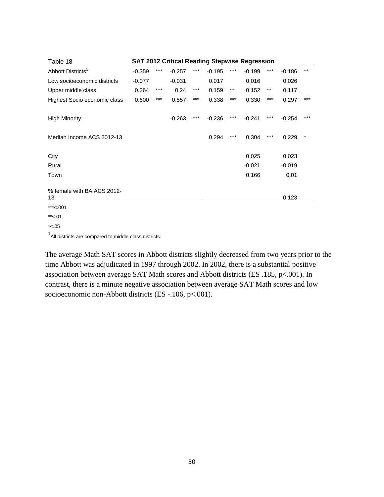| Table 18                         | <b>SAT 2012 Critical Reading Stepwise Regression</b> |       |          |       |          |       |          |       |          |          |  |  |  |  |
|----------------------------------|------------------------------------------------------|-------|----------|-------|----------|-------|----------|-------|----------|----------|--|--|--|--|
| Abbott Districts <sup>1</sup>    | $-0.359$                                             | $***$ | $-0.257$ | $***$ | $-0.195$ | $***$ | $-0.199$ | $***$ | $-0.186$ | $***$    |  |  |  |  |
| Low socioeconomic districts      | $-0.077$                                             |       | $-0.031$ |       | 0.017    |       | 0.016    |       | 0.026    |          |  |  |  |  |
| Upper middle class               | 0.264                                                | ***   | 0.24     | ***   | 0.159    | $***$ | 0.152    | $***$ | 0.117    |          |  |  |  |  |
| Highest Socio economic class     | 0.600                                                | ***   | 0.557    | $***$ | 0.338    | $***$ | 0.330    | $***$ | 0.297    | ***      |  |  |  |  |
| <b>High Minority</b>             |                                                      |       | $-0.263$ | $***$ | $-0.236$ | $***$ | $-0.241$ | $***$ | $-0.254$ | $***$    |  |  |  |  |
| Median Income ACS 2012-13        |                                                      |       |          |       | 0.294    | $***$ | 0.304    | ***   | 0.229    | $^\star$ |  |  |  |  |
|                                  |                                                      |       |          |       |          |       |          |       |          |          |  |  |  |  |
| City                             |                                                      |       |          |       |          |       | 0.025    |       | 0.023    |          |  |  |  |  |
| Rural                            |                                                      |       |          |       |          |       | $-0.021$ |       | $-0.019$ |          |  |  |  |  |
| Town                             |                                                      |       |          |       |          |       | 0.166    |       | 0.01     |          |  |  |  |  |
| % female with BA ACS 2012-<br>13 |                                                      |       |          |       |          |       |          |       | 0.123    |          |  |  |  |  |
| ***<.001                         |                                                      |       |          |       |          |       |          |       |          |          |  |  |  |  |
| $*<.01$                          |                                                      |       |          |       |          |       |          |       |          |          |  |  |  |  |

 $*<.05$ 

<sup>1</sup>All districts are compared to middle class districts.

The average Math SAT scores in Abbott districts slightly decreased from two years prior to the time Abbott was adjudicated in 1997 through 2002. In 2002, there is a substantial positive association between average SAT Math scores and Abbott districts (ES .185, p<.001). In contrast, there is a minute negative association between average SAT Math scores and low socioeconomic non-Abbott districts (ES -.106, p<.001).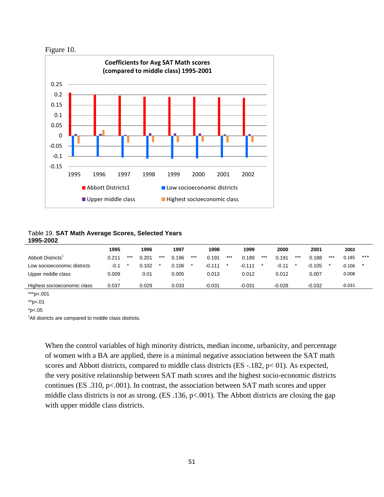



Table 19. **SAT Math Average Scores, Selected Years 1995-2002** 

|                             | 1995   |     | 1996  |       | 1997  |       | 1998     |       | 1999     |       | 2000     |     | 2001     |       | 2002     |     |
|-----------------------------|--------|-----|-------|-------|-------|-------|----------|-------|----------|-------|----------|-----|----------|-------|----------|-----|
| Abbott Districts'           | 0.211  | *** | 0.201 | $***$ | 0.196 | $***$ | 0.191    | $***$ | 0.189    | $***$ | 0.191    | *** | 0.188    | $***$ | 0.185    | *** |
| Low socioeconomic districts | $-0.1$ |     | 0.102 |       | 0.106 |       | $-0.111$ |       | $-0.111$ |       | $-0.11$  |     | $-0.105$ |       | $-0.106$ |     |
| Upper middle class          | 0.009  |     | 0.01  |       | 0.005 |       | 0.013    |       | 0.012    |       | 0.012    |     | 0.007    |       | 0.008    |     |
|                             | $\sim$ |     |       |       |       |       |          |       |          |       |          |     |          |       |          |     |
| Highest socioeconomic class | 0.037  |     | 0.029 |       | 0.033 |       | $-0.031$ |       | $-0.031$ |       | $-0.028$ |     | $-0.032$ |       | $-0.031$ |     |

\*\*\*p<.001

\*\*p<.01

 $*p<.05$ 

<sup>1</sup>All districts are compared to middle class districts.

When the control variables of high minority districts, median income, urbanicity, and percentage of women with a BA are applied, there is a minimal negative association between the SAT math scores and Abbott districts, compared to middle class districts (ES -.182, p< 01). As expected, the very positive relationship between SAT math scores and the highest socio-economic districts continues (ES .310, p<.001). In contrast, the association between SAT math scores and upper middle class districts is not as strong. (ES .136, p<.001). The Abbott districts are closing the gap with upper middle class districts.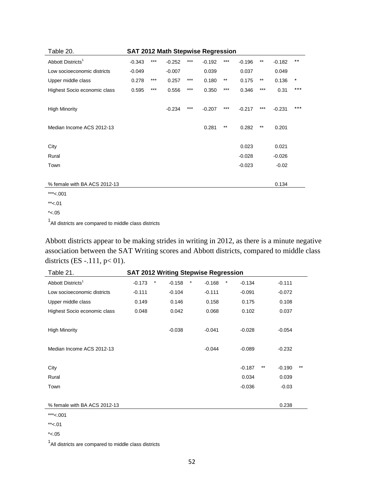| SAT 2012 Math Stepwise Regression<br>Table 20. |          |       |          |       |          |       |          |       |          |        |  |
|------------------------------------------------|----------|-------|----------|-------|----------|-------|----------|-------|----------|--------|--|
| Abbott Districts <sup>1</sup>                  | $-0.343$ | ***   | $-0.252$ | ***   | $-0.192$ | ***   | $-0.196$ | $***$ | $-0.182$ | $***$  |  |
| Low socioeconomic districts                    | $-0.049$ |       | $-0.007$ |       | 0.039    |       | 0.037    |       | 0.049    |        |  |
| Upper middle class                             | 0.278    | ***   | 0.257    | ***   | 0.180    | $***$ | 0.175    | $***$ | 0.136    | $\ast$ |  |
| Highest Socio economic class                   | 0.595    | $***$ | 0.556    | $***$ | 0.350    | $***$ | 0.346    | $***$ | 0.31     | $***$  |  |
|                                                |          |       |          |       |          |       |          |       |          |        |  |
| <b>High Minority</b>                           |          |       | $-0.234$ | $***$ | $-0.207$ | ***   | $-0.217$ | $***$ | $-0.231$ | ***    |  |
|                                                |          |       |          |       |          |       |          |       |          |        |  |
| Median Income ACS 2012-13                      |          |       |          |       | 0.281    | $***$ | 0.282    | $***$ | 0.201    |        |  |
|                                                |          |       |          |       |          |       |          |       |          |        |  |
| City                                           |          |       |          |       |          |       | 0.023    |       | 0.021    |        |  |
| Rural                                          |          |       |          |       |          |       | $-0.028$ |       | $-0.026$ |        |  |
| Town                                           |          |       |          |       |          |       | $-0.023$ |       | $-0.02$  |        |  |
|                                                |          |       |          |       |          |       |          |       |          |        |  |
| % female with BA ACS 2012-13                   |          |       |          |       |          |       |          |       | 0.134    |        |  |
| $***$ 004                                      |          |       |          |       |          |       |          |       |          |        |  |

\*\*\*<.001

 $*<.01$ 

 $*<.05$ 

<sup>1</sup>All districts are compared to middle class districts

Abbott districts appear to be making strides in writing in 2012, as there is a minute negative association between the SAT Writing scores and Abbott districts, compared to middle class districts (ES -.111, p< 01).

| <b>SAT 2012 Writing Stepwise Regression</b><br>Table 21. |          |        |          |   |          |        |          |       |          |       |
|----------------------------------------------------------|----------|--------|----------|---|----------|--------|----------|-------|----------|-------|
| Abbott Districts <sup>1</sup>                            | $-0.173$ | $\ast$ | $-0.158$ | * | $-0.168$ | $\ast$ | $-0.134$ |       | $-0.111$ |       |
| Low socioeconomic districts                              | $-0.111$ |        | $-0.104$ |   | $-0.111$ |        | $-0.091$ |       | $-0.072$ |       |
| Upper middle class                                       | 0.149    |        | 0.146    |   | 0.158    |        | 0.175    |       | 0.108    |       |
| Highest Socio economic class                             | 0.048    |        | 0.042    |   | 0.068    |        | 0.102    |       | 0.037    |       |
|                                                          |          |        |          |   |          |        |          |       |          |       |
| <b>High Minority</b>                                     |          |        | $-0.038$ |   | $-0.041$ |        | $-0.028$ |       | $-0.054$ |       |
|                                                          |          |        |          |   |          |        |          |       |          |       |
| Median Income ACS 2012-13                                |          |        |          |   | $-0.044$ |        | $-0.089$ |       | $-0.232$ |       |
|                                                          |          |        |          |   |          |        |          |       |          |       |
| City                                                     |          |        |          |   |          |        | $-0.187$ | $***$ | $-0.190$ | $***$ |
| Rural                                                    |          |        |          |   |          |        | 0.034    |       | 0.039    |       |
| Town                                                     |          |        |          |   |          |        | $-0.036$ |       | $-0.03$  |       |
|                                                          |          |        |          |   |          |        |          |       |          |       |
| % female with BA ACS 2012-13                             |          |        |          |   |          |        |          |       | 0.238    |       |
|                                                          |          |        |          |   |          |        |          |       |          |       |

\*\*\*<.001

 $***<.01$ 

 $*< .05$ 

<sup>1</sup>All districts are compared to middle class districts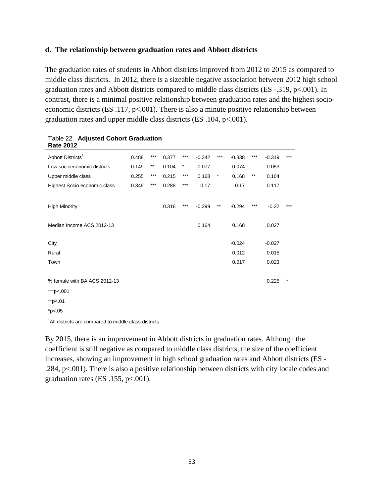#### **d. The relationship between graduation rates and Abbott districts**

The graduation rates of students in Abbott districts improved from 2012 to 2015 as compared to middle class districts. In 2012, there is a sizeable negative association between 2012 high school graduation rates and Abbott districts compared to middle class districts (ES -.319, p<.001). In contrast, there is a minimal positive relationship between graduation rates and the highest socioeconomic districts (ES .117,  $p<0.001$ ). There is also a minute positive relationship between graduation rates and upper middle class districts (ES .104, p<.001).

| Rale ZUTZ                     |       |                 |       |          |          |         |          |              |          |        |
|-------------------------------|-------|-----------------|-------|----------|----------|---------|----------|--------------|----------|--------|
| Abbott Districts <sup>1</sup> | 0.488 | $***$           | 0.377 | $***$    | $-0.342$ | $***$   | $-0.338$ | $***$        | $-0.319$ | $***$  |
| Low socioeconomic districts   | 0.149 | $^{\star\star}$ | 0.104 | $^\star$ | $-0.077$ |         | $-0.074$ |              | $-0.053$ |        |
| Upper middle class            | 0.255 | $***$           | 0.215 | $***$    | 0.168    | $\star$ | 0.168    | $\star\star$ | 0.104    |        |
| Highest Socio economic class  | 0.349 | $***$           | 0.288 | $***$    | 0.17     |         | 0.17     |              | 0.117    |        |
|                               |       |                 |       |          |          |         |          |              |          |        |
| <b>High Minority</b>          |       |                 | 0.316 | ***      | $-0.299$ | $***$   | $-0.294$ | $***$        | $-0.32$  | $***$  |
|                               |       |                 |       |          |          |         |          |              |          |        |
| Median Income ACS 2012-13     |       |                 |       |          | 0.164    |         | 0.168    |              | 0.027    |        |
|                               |       |                 |       |          |          |         |          |              |          |        |
| City                          |       |                 |       |          |          |         | $-0.024$ |              | $-0.027$ |        |
| Rural                         |       |                 |       |          |          |         | 0.012    |              | 0.015    |        |
| Town                          |       |                 |       |          |          |         | 0.017    |              | 0.023    |        |
|                               |       |                 |       |          |          |         |          |              |          |        |
| % female with BA ACS 2012-13  |       |                 |       |          |          |         |          |              | 0.225    | $\ast$ |
| ***p<.001                     |       |                 |       |          |          |         |          |              |          |        |

#### Table 22. **Adjusted Cohort Graduation Rate 2012**

\*\*p<.01

 $*p<.05$ 

<sup>1</sup>All districts are compared to middle class districts

By 2015, there is an improvement in Abbott districts in graduation rates. Although the coefficient is still negative as compared to middle class districts, the size of the coefficient increases, showing an improvement in high school graduation rates and Abbott districts (ES - .284, p<.001). There is also a positive relationship between districts with city locale codes and graduation rates (ES .155, p<.001).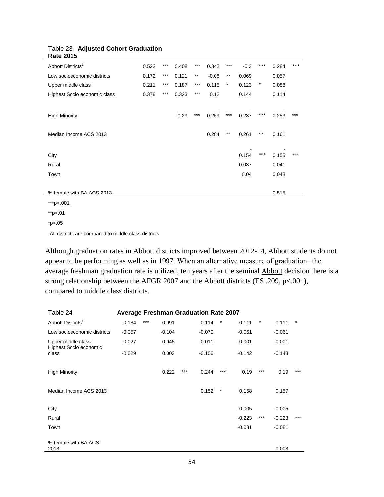| $1100 - 2010$                 |       |       |         |       |         |          |        |       |       |       |
|-------------------------------|-------|-------|---------|-------|---------|----------|--------|-------|-------|-------|
| Abbott Districts <sup>1</sup> | 0.522 | $***$ | 0.408   | $***$ | 0.342   | $***$    | $-0.3$ | $***$ | 0.284 | ***   |
| Low socioeconomic districts   | 0.172 | $***$ | 0.121   | $***$ | $-0.08$ | $***$    | 0.069  |       | 0.057 |       |
| Upper middle class            | 0.211 | $***$ | 0.187   | $***$ | 0.115   | $^\star$ | 0.123  | *     | 0.088 |       |
| Highest Socio economic class  | 0.378 | $***$ | 0.323   | $***$ | 0.12    |          | 0.144  |       | 0.114 |       |
|                               |       |       |         |       |         |          |        |       |       |       |
| <b>High Minority</b>          |       |       | $-0.29$ | $***$ | 0.259   | $***$    | 0.237  | $***$ | 0.253 | $***$ |
|                               |       |       |         |       |         |          |        |       |       |       |
| Median Income ACS 2013        |       |       |         |       | 0.284   | $***$    | 0.261  | $***$ | 0.161 |       |
|                               |       |       |         |       |         |          |        |       |       |       |
| City                          |       |       |         |       |         |          | 0.154  | $***$ | 0.155 | $***$ |
| Rural                         |       |       |         |       |         |          | 0.037  |       | 0.041 |       |
| Town                          |       |       |         |       |         |          | 0.04   |       | 0.048 |       |
|                               |       |       |         |       |         |          |        |       |       |       |
| % female with BA ACS 2013     |       |       |         |       |         |          |        |       | 0.515 |       |
| ***p<.001                     |       |       |         |       |         |          |        |       |       |       |
| **p<.01                       |       |       |         |       |         |          |        |       |       |       |

#### Table 23. **Adjusted Cohort Graduation Rate 2015**

<sup>1</sup>All districts are compared to middle class districts

 $*p<.05$ 

Although graduation rates in Abbott districts improved between 2012-14, Abbott students do not appear to be performing as well as in 1997. When an alternative measure of graduation—the average freshman graduation rate is utilized, ten years after the seminal Abbott decision there is a strong relationship between the AFGR 2007 and the Abbott districts (ES .209, p<.001), compared to middle class districts.

| Table 24<br><b>Average Freshman Graduation Rate 2007</b> |          |       |          |     |          |        |          |        |          |         |  |
|----------------------------------------------------------|----------|-------|----------|-----|----------|--------|----------|--------|----------|---------|--|
| Abbott Districts <sup>1</sup>                            | 0.184    | $***$ | 0.091    |     | 0.114    | $\ast$ | 0.111    | $\ast$ | 0.111    | $^\ast$ |  |
| Low socioeconomic districts                              | $-0.057$ |       | $-0.104$ |     | $-0.079$ |        | $-0.061$ |        | $-0.061$ |         |  |
| Upper middle class<br>Highest Socio economic             | 0.027    |       | 0.045    |     | 0.011    |        | $-0.001$ |        | $-0.001$ |         |  |
| class                                                    | $-0.029$ |       | 0.003    |     | $-0.106$ |        | $-0.142$ |        | $-0.143$ |         |  |
|                                                          |          |       |          |     |          |        |          |        |          |         |  |
| <b>High Minority</b>                                     |          |       | 0.222    | *** | 0.244    | ***    | 0.19     | $***$  | 0.19     | $***$   |  |
| Median Income ACS 2013                                   |          |       |          |     | 0.152    | $\ast$ | 0.158    |        | 0.157    |         |  |
| City                                                     |          |       |          |     |          |        | $-0.005$ |        | $-0.005$ |         |  |
| Rural                                                    |          |       |          |     |          |        | $-0.223$ | $***$  | $-0.223$ | $***$   |  |
| Town                                                     |          |       |          |     |          |        | $-0.081$ |        | $-0.081$ |         |  |
| % female with BA ACS                                     |          |       |          |     |          |        |          |        |          |         |  |
| 2013                                                     |          |       |          |     |          |        |          |        | 0.003    |         |  |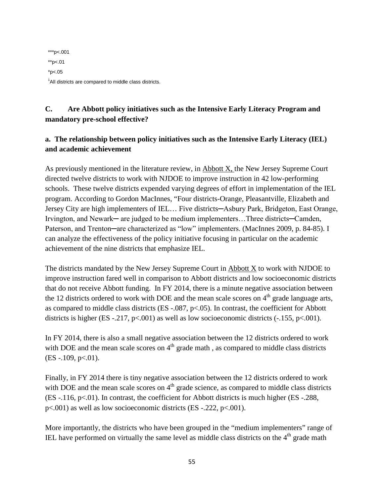\*\*\*p<.001 \*\*p<.01  $*p<.05$ <sup>1</sup>All districts are compared to middle class districts.

## **C. Are Abbott policy initiatives such as the Intensive Early Literacy Program and mandatory pre-school effective?**

## **a. The relationship between policy initiatives such as the Intensive Early Literacy (IEL) and academic achievement**

As previously mentioned in the literature review, in Abbott X, the New Jersey Supreme Court directed twelve districts to work with NJDOE to improve instruction in 42 low-performing schools. These twelve districts expended varying degrees of effort in implementation of the IEL program. According to Gordon MacInnes, "Four districts-Orange, Pleasantville, Elizabeth and Jersey City are high implementers of IEL… Five districts─Asbury Park, Bridgeton, East Orange, Irvington, and Newark— are judged to be medium implementers...Three districts—Camden, Paterson, and Trenton—are characterized as "low" implementers. (MacInnes 2009, p. 84-85). I can analyze the effectiveness of the policy initiative focusing in particular on the academic achievement of the nine districts that emphasize IEL.

The districts mandated by the New Jersey Supreme Court in Abbott X to work with NJDOE to improve instruction fared well in comparison to Abbott districts and low socioeconomic districts that do not receive Abbott funding. In FY 2014, there is a minute negative association between the 12 districts ordered to work with DOE and the mean scale scores on  $4<sup>th</sup>$  grade language arts, as compared to middle class districts (ES -.087, p<.05). In contrast, the coefficient for Abbott districts is higher (ES -.217,  $p<0.001$ ) as well as low socioeconomic districts (-.155,  $p<0.001$ ).

In FY 2014, there is also a small negative association between the 12 districts ordered to work with DOE and the mean scale scores on  $4<sup>th</sup>$  grade math, as compared to middle class districts  $(ES - 109, p < 01)$ .

Finally, in FY 2014 there is tiny negative association between the 12 districts ordered to work with DOE and the mean scale scores on  $4<sup>th</sup>$  grade science, as compared to middle class districts  $(ES -116, p\lt 0.01)$ . In contrast, the coefficient for Abbott districts is much higher  $(ES -288,$ p<.001) as well as low socioeconomic districts (ES -.222, p<.001).

More importantly, the districts who have been grouped in the "medium implementers" range of IEL have performed on virtually the same level as middle class districts on the  $4<sup>th</sup>$  grade math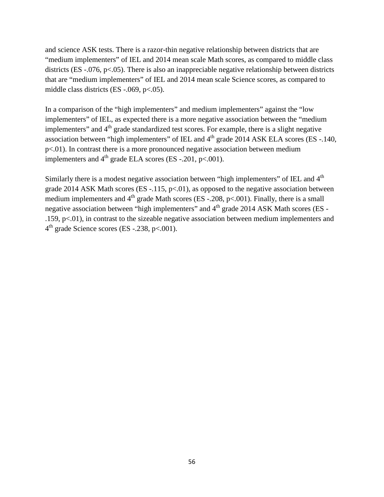and science ASK tests. There is a razor-thin negative relationship between districts that are "medium implementers" of IEL and 2014 mean scale Math scores, as compared to middle class districts (ES -.076, p<.05). There is also an inappreciable negative relationship between districts that are "medium implementers" of IEL and 2014 mean scale Science scores, as compared to middle class districts (ES -.069, p<.05).

In a comparison of the "high implementers" and medium implementers" against the "low implementers" of IEL, as expected there is a more negative association between the "medium implementers" and  $4<sup>th</sup>$  grade standardized test scores. For example, there is a slight negative association between "high implementers" of IEL and  $4<sup>th</sup>$  grade 2014 ASK ELA scores (ES -.140, p<.01). In contrast there is a more pronounced negative association between medium implementers and  $4<sup>th</sup>$  grade ELA scores (ES -.201, p<.001).

Similarly there is a modest negative association between "high implementers" of IEL and 4<sup>th</sup> grade 2014 ASK Math scores (ES -.115,  $p<.01$ ), as opposed to the negative association between medium implementers and  $4<sup>th</sup>$  grade Math scores (ES -.208, p<.001). Finally, there is a small negative association between "high implementers" and  $4<sup>th</sup>$  grade 2014 ASK Math scores (ES -.159, p<.01), in contrast to the sizeable negative association between medium implementers and  $4<sup>th</sup>$  grade Science scores (ES -.238, p<.001).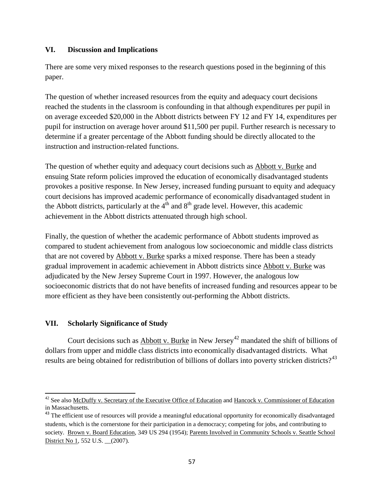### **VI. Discussion and Implications**

There are some very mixed responses to the research questions posed in the beginning of this paper.

The question of whether increased resources from the equity and adequacy court decisions reached the students in the classroom is confounding in that although expenditures per pupil in on average exceeded \$20,000 in the Abbott districts between FY 12 and FY 14, expenditures per pupil for instruction on average hover around \$11,500 per pupil. Further research is necessary to determine if a greater percentage of the Abbott funding should be directly allocated to the instruction and instruction-related functions.

The question of whether equity and adequacy court decisions such as Abbott v. Burke and ensuing State reform policies improved the education of economically disadvantaged students provokes a positive response. In New Jersey, increased funding pursuant to equity and adequacy court decisions has improved academic performance of economically disadvantaged student in the Abbott districts, particularly at the  $4<sup>th</sup>$  and  $8<sup>th</sup>$  grade level. However, this academic achievement in the Abbott districts attenuated through high school.

Finally, the question of whether the academic performance of Abbott students improved as compared to student achievement from analogous low socioeconomic and middle class districts that are not covered by Abbott v. Burke sparks a mixed response. There has been a steady gradual improvement in academic achievement in Abbott districts since Abbott v. Burke was adjudicated by the New Jersey Supreme Court in 1997. However, the analogous low socioeconomic districts that do not have benefits of increased funding and resources appear to be more efficient as they have been consistently out-performing the Abbott districts.

## **VII. Scholarly Significance of Study**

 $\overline{\phantom{a}}$ 

Court decisions such as Abbott v. Burke in New Jersey<sup>42</sup> mandated the shift of billions of dollars from upper and middle class districts into economically disadvantaged districts. What results are being obtained for redistribution of billions of dollars into poverty stricken districts?<sup>43</sup>

<sup>&</sup>lt;sup>42</sup> See also <u>McDuffy v. Secretary of the Executive Office of Education</u> and Hancock v. Commissioner of Education in Massachusetts.

<sup>&</sup>lt;sup>43</sup> The efficient use of resources will provide a meaningful educational opportunity for economically disadvantaged students, which is the cornerstone for their participation in a democracy; competing for jobs, and contributing to society. Brown v. Board Education, 349 US 294 (1954); Parents Involved in Community Schools v. Seattle School District No 1, 552 U.S. \_\_(2007).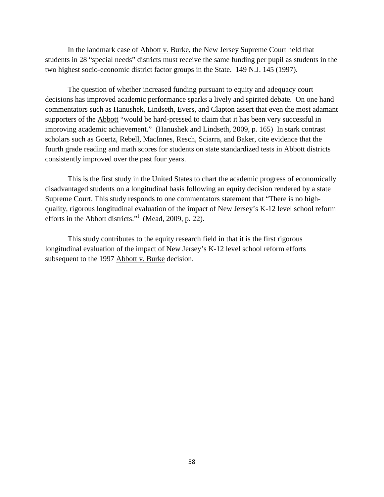In the landmark case of Abbott v. Burke, the New Jersey Supreme Court held that students in 28 "special needs" districts must receive the same funding per pupil as students in the two highest socio-economic district factor groups in the State. 149 N.J. 145 (1997).

The question of whether increased funding pursuant to equity and adequacy court decisions has improved academic performance sparks a lively and spirited debate. On one hand commentators such as Hanushek, Lindseth, Evers, and Clapton assert that even the most adamant supporters of the Abbott "would be hard-pressed to claim that it has been very successful in improving academic achievement." (Hanushek and Lindseth, 2009, p. 165) In stark contrast scholars such as Goertz, Rebell, MacInnes, Resch, Sciarra, and Baker, cite evidence that the fourth grade reading and math scores for students on state standardized tests in Abbott districts consistently improved over the past four years.

This is the first study in the United States to chart the academic progress of economically disadvantaged students on a longitudinal basis following an equity decision rendered by a state Supreme Court. This study responds to one commentators statement that "There is no highquality, rigorous longitudinal evaluation of the impact of New Jersey's K-12 level school reform efforts in the Abbott districts."<sup>i</sup> (Mead, 2009, p. 22).

This study contributes to the equity research field in that it is the first rigorous longitudinal evaluation of the impact of New Jersey's K-12 level school reform efforts subsequent to the 1997 Abbott v. Burke decision.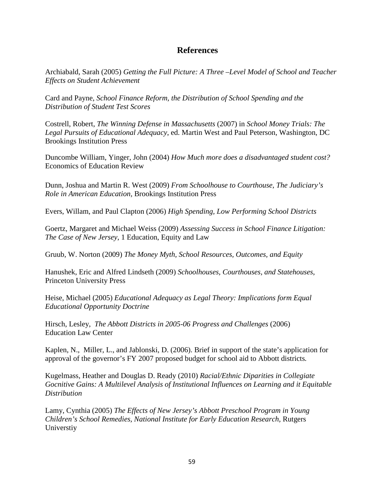## **References**

Archiabald, Sarah (2005) *Getting the Full Picture: A Three –Level Model of School and Teacher Effects on Student Achievement*

Card and Payne, *School Finance Reform, the Distribution of School Spending and the Distribution of Student Test Scores*

Costrell, Robert, *The Winning Defense in Massachusetts* (2007) in *School Money Trials: The Legal Pursuits of Educational Adequacy*, ed. Martin West and Paul Peterson, Washington, DC Brookings Institution Press

Duncombe William, Yinger, John (2004) *How Much more does a disadvantaged student cost?* Economics of Education Review

Dunn, Joshua and Martin R. West (2009) *From Schoolhouse to Courthouse, The Judiciary's Role in American Education,* Brookings Institution Press

Evers, Willam, and Paul Clapton (2006) *High Spending, Low Performing School Districts* 

Goertz, Margaret and Michael Weiss (2009) *Assessing Success in School Finance Litigation: The Case of New Jersey*, 1 Education, Equity and Law

Gruub, W. Norton (2009) *The Money Myth, School Resources, Outcomes, and Equity*

Hanushek, Eric and Alfred Lindseth (2009) *Schoolhouses, Courthouses, and Statehouses*, Princeton University Press

Heise, Michael (2005) *Educational Adequacy as Legal Theory: Implications form Equal Educational Opportunity Doctrine*

Hirsch, Lesley, *The Abbott Districts in 2005-06 Progress and Challenges* (2006) Education Law Center

Kaplen, N., Miller, L., and Jablonski, D. (2006). Brief in support of the state's application for approval of the governor's FY 2007 proposed budget for school aid to Abbott districts*.* 

Kugelmass, Heather and Douglas D. Ready (2010) *Racial/Ethnic Diparities in Collegiate Gocnitive Gains: A Multilevel Analysis of Institutional Influences on Learning and it Equitable Distribution*

Lamy, Cynthia (2005) *The Effects of New Jersey's Abbott Preschool Program in Young Children's School Remedies, National Institute for Early Education Research,* Rutgers Universtiy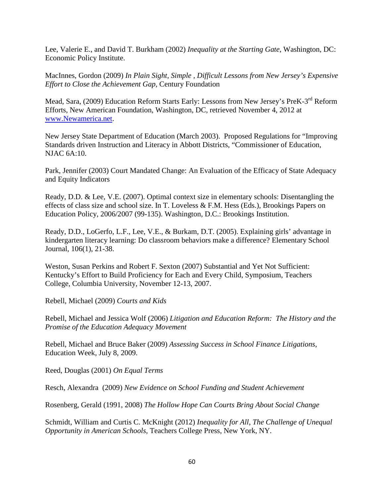Lee, Valerie E., and David T. Burkham (2002) *Inequality at the Starting Gate*, Washington, DC: Economic Policy Institute.

MacInnes, Gordon (2009) *In Plain Sight, Simple , Difficult Lessons from New Jersey's Expensive Effort to Close the Achievement Gap,* Century Foundation

Mead, Sara, (2009) Education Reform Starts Early: Lessons from New Jersey's PreK-3rd Reform Efforts, New American Foundation, Washington, DC, retrieved November 4, 2012 at [www.Newamerica.net.](http://www.newamerica.net/)

New Jersey State Department of Education (March 2003). Proposed Regulations for "Improving Standards driven Instruction and Literacy in Abbott Districts, "Commissioner of Education, NJAC 6A:10.

Park, Jennifer (2003) Court Mandated Change: An Evaluation of the Efficacy of State Adequacy and Equity Indicators

Ready, D.D. & Lee, V.E. (2007). Optimal context size in elementary schools: Disentangling the effects of class size and school size. In T. Loveless & F.M. Hess (Eds.), Brookings Papers on Education Policy, 2006/2007 (99-135). Washington, D.C.: Brookings Institution.

Ready, D.D., LoGerfo, L.F., Lee, V.E., & Burkam, D.T. (2005). Explaining girls' advantage in kindergarten literacy learning: Do classroom behaviors make a difference? Elementary School Journal, 106(1), 21-38.

Weston, Susan Perkins and Robert F. Sexton (2007) Substantial and Yet Not Sufficient: Kentucky's Effort to Build Proficiency for Each and Every Child, Symposium, Teachers College, Columbia University, November 12-13, 2007.

Rebell, Michael (2009) *Courts and Kids*

Rebell, Michael and Jessica Wolf (2006) *Litigation and Education Reform: The History and the Promise of the Education Adequacy Movement*

Rebell, Michael and Bruce Baker (2009) *Assessing Success in School Finance Litigations*, Education Week, July 8, 2009.

Reed, Douglas (2001) *On Equal Terms*

Resch, Alexandra (2009) *New Evidence on School Funding and Student Achievement*

Rosenberg, Gerald (1991, 2008) *The Hollow Hope Can Courts Bring About Social Change*

Schmidt, William and Curtis C. McKnight (2012) *Inequality for All, The Challenge of Unequal Opportunity in American Schools,* Teachers College Press, New York, NY.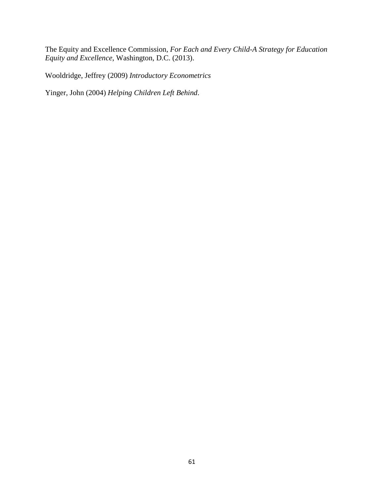The Equity and Excellence Commission, *For Each and Every Child-A Strategy for Education Equity and Excellence*, Washington, D.C. (2013).

Wooldridge, Jeffrey (2009) *Introductory Econometrics*

Yinger, John (2004) *Helping Children Left Behind*.